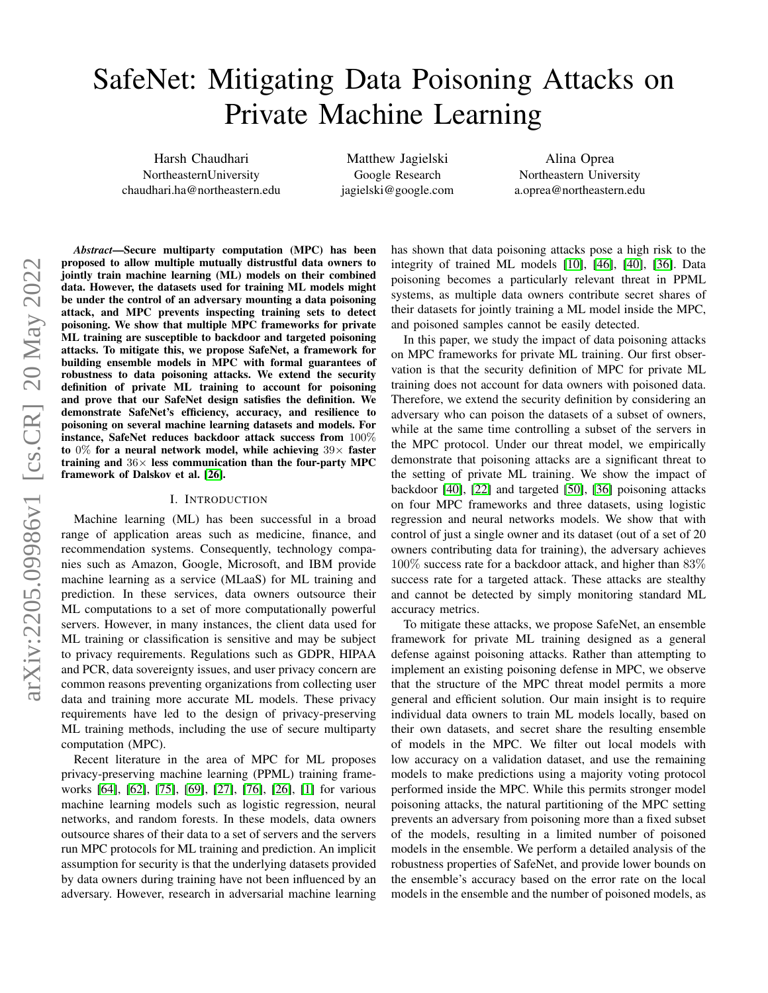# SafeNet: Mitigating Data Poisoning Attacks on Private Machine Learning

Harsh Chaudhari NortheasternUniversity chaudhari.ha@northeastern.edu

Matthew Jagielski Google Research jagielski@google.com

Alina Oprea Northeastern University a.oprea@northeastern.edu

*Abstract*—Secure multiparty computation (MPC) has been proposed to allow multiple mutually distrustful data owners to jointly train machine learning (ML) models on their combined data. However, the datasets used for training ML models might be under the control of an adversary mounting a data poisoning attack, and MPC prevents inspecting training sets to detect poisoning. We show that multiple MPC frameworks for private ML training are susceptible to backdoor and targeted poisoning attacks. To mitigate this, we propose SafeNet, a framework for building ensemble models in MPC with formal guarantees of robustness to data poisoning attacks. We extend the security definition of private ML training to account for poisoning and prove that our SafeNet design satisfies the definition. We demonstrate SafeNet's efficiency, accuracy, and resilience to poisoning on several machine learning datasets and models. For instance, SafeNet reduces backdoor attack success from 100% to  $0\%$  for a neural network model, while achieving  $39\times$  faster training and  $36\times$  less communication than the four-party MPC framework of Dalskov et al. [\[26\]](#page-13-0).

#### I. INTRODUCTION

Machine learning (ML) has been successful in a broad range of application areas such as medicine, finance, and recommendation systems. Consequently, technology companies such as Amazon, Google, Microsoft, and IBM provide machine learning as a service (MLaaS) for ML training and prediction. In these services, data owners outsource their ML computations to a set of more computationally powerful servers. However, in many instances, the client data used for ML training or classification is sensitive and may be subject to privacy requirements. Regulations such as GDPR, HIPAA and PCR, data sovereignty issues, and user privacy concern are common reasons preventing organizations from collecting user data and training more accurate ML models. These privacy requirements have led to the design of privacy-preserving ML training methods, including the use of secure multiparty computation (MPC).

Recent literature in the area of MPC for ML proposes privacy-preserving machine learning (PPML) training frameworks [\[64\]](#page-14-0), [\[62\]](#page-14-1), [\[75\]](#page-14-2), [\[69\]](#page-14-3), [\[27\]](#page-13-1), [\[76\]](#page-14-4), [\[26\]](#page-13-0), [\[1\]](#page-13-2) for various machine learning models such as logistic regression, neural networks, and random forests. In these models, data owners outsource shares of their data to a set of servers and the servers run MPC protocols for ML training and prediction. An implicit assumption for security is that the underlying datasets provided by data owners during training have not been influenced by an adversary. However, research in adversarial machine learning has shown that data poisoning attacks pose a high risk to the integrity of trained ML models [\[10\]](#page-13-3), [\[46\]](#page-13-4), [\[40\]](#page-13-5), [\[36\]](#page-13-6). Data poisoning becomes a particularly relevant threat in PPML systems, as multiple data owners contribute secret shares of their datasets for jointly training a ML model inside the MPC, and poisoned samples cannot be easily detected.

In this paper, we study the impact of data poisoning attacks on MPC frameworks for private ML training. Our first observation is that the security definition of MPC for private ML training does not account for data owners with poisoned data. Therefore, we extend the security definition by considering an adversary who can poison the datasets of a subset of owners, while at the same time controlling a subset of the servers in the MPC protocol. Under our threat model, we empirically demonstrate that poisoning attacks are a significant threat to the setting of private ML training. We show the impact of backdoor [\[40\]](#page-13-5), [\[22\]](#page-13-7) and targeted [\[50\]](#page-13-8), [\[36\]](#page-13-6) poisoning attacks on four MPC frameworks and three datasets, using logistic regression and neural networks models. We show that with control of just a single owner and its dataset (out of a set of 20 owners contributing data for training), the adversary achieves 100% success rate for a backdoor attack, and higher than 83% success rate for a targeted attack. These attacks are stealthy and cannot be detected by simply monitoring standard ML accuracy metrics.

To mitigate these attacks, we propose SafeNet, an ensemble framework for private ML training designed as a general defense against poisoning attacks. Rather than attempting to implement an existing poisoning defense in MPC, we observe that the structure of the MPC threat model permits a more general and efficient solution. Our main insight is to require individual data owners to train ML models locally, based on their own datasets, and secret share the resulting ensemble of models in the MPC. We filter out local models with low accuracy on a validation dataset, and use the remaining models to make predictions using a majority voting protocol performed inside the MPC. While this permits stronger model poisoning attacks, the natural partitioning of the MPC setting prevents an adversary from poisoning more than a fixed subset of the models, resulting in a limited number of poisoned models in the ensemble. We perform a detailed analysis of the robustness properties of SafeNet, and provide lower bounds on the ensemble's accuracy based on the error rate on the local models in the ensemble and the number of poisoned models, as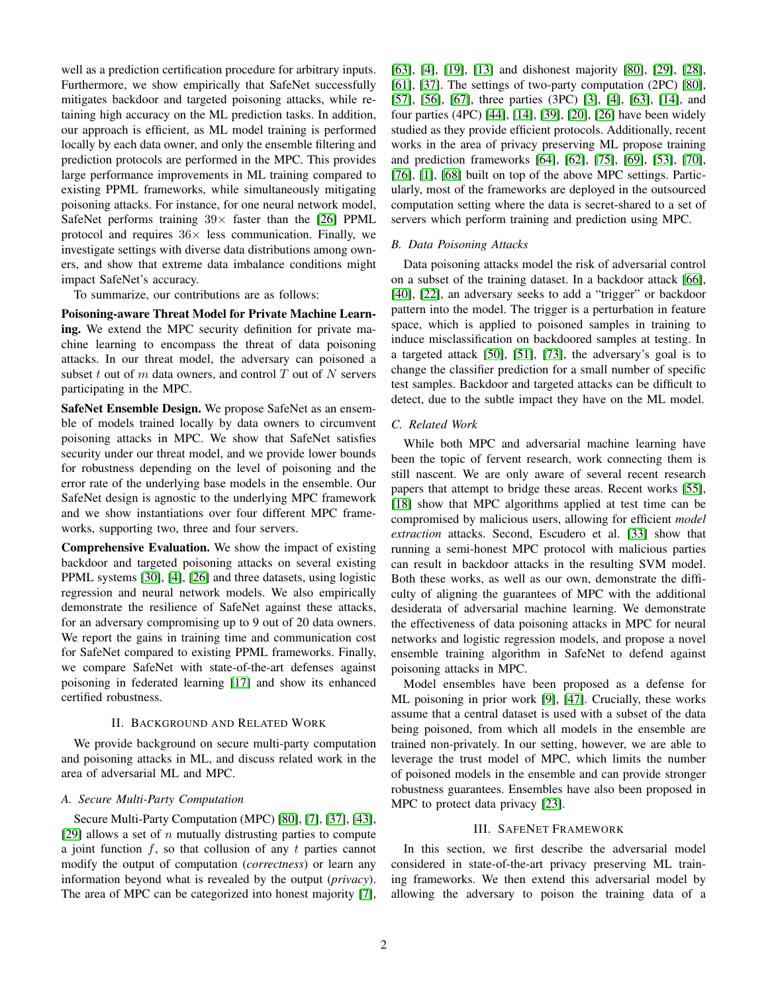well as a prediction certification procedure for arbitrary inputs. Furthermore, we show empirically that SafeNet successfully mitigates backdoor and targeted poisoning attacks, while retaining high accuracy on the ML prediction tasks. In addition, our approach is efficient, as ML model training is performed locally by each data owner, and only the ensemble filtering and prediction protocols are performed in the MPC. This provides large performance improvements in ML training compared to existing PPML frameworks, while simultaneously mitigating poisoning attacks. For instance, for one neural network model, SafeNet performs training  $39\times$  faster than the [\[26\]](#page-13-0) PPML protocol and requires  $36\times$  less communication. Finally, we investigate settings with diverse data distributions among owners, and show that extreme data imbalance conditions might impact SafeNet's accuracy.

To summarize, our contributions are as follows:

Poisoning-aware Threat Model for Private Machine Learning. We extend the MPC security definition for private machine learning to encompass the threat of data poisoning attacks. In our threat model, the adversary can poisoned a subset t out of  $m$  data owners, and control  $T$  out of  $N$  servers participating in the MPC.

SafeNet Ensemble Design. We propose SafeNet as an ensemble of models trained locally by data owners to circumvent poisoning attacks in MPC. We show that SafeNet satisfies security under our threat model, and we provide lower bounds for robustness depending on the level of poisoning and the error rate of the underlying base models in the ensemble. Our SafeNet design is agnostic to the underlying MPC framework and we show instantiations over four different MPC frameworks, supporting two, three and four servers.

Comprehensive Evaluation. We show the impact of existing backdoor and targeted poisoning attacks on several existing PPML systems [\[30\]](#page-13-9), [\[4\]](#page-13-10), [\[26\]](#page-13-0) and three datasets, using logistic regression and neural network models. We also empirically demonstrate the resilience of SafeNet against these attacks, for an adversary compromising up to 9 out of 20 data owners. We report the gains in training time and communication cost for SafeNet compared to existing PPML frameworks. Finally, we compare SafeNet with state-of-the-art defenses against poisoning in federated learning [\[17\]](#page-13-11) and show its enhanced certified robustness.

## II. BACKGROUND AND RELATED WORK

We provide background on secure multi-party computation and poisoning attacks in ML, and discuss related work in the area of adversarial ML and MPC.

# *A. Secure Multi-Party Computation*

Secure Multi-Party Computation (MPC) [\[80\]](#page-14-5), [\[7\]](#page-13-12), [\[37\]](#page-13-13), [\[43\]](#page-13-14), [\[29\]](#page-13-15) allows a set of  $n$  mutually distrusting parties to compute a joint function  $f$ , so that collusion of any  $t$  parties cannot modify the output of computation (*correctness*) or learn any information beyond what is revealed by the output (*privacy*). The area of MPC can be categorized into honest majority [\[7\]](#page-13-12),

[\[63\]](#page-14-6), [\[4\]](#page-13-10), [\[19\]](#page-13-16), [\[13\]](#page-13-17) and dishonest majority [\[80\]](#page-14-5), [\[29\]](#page-13-15), [\[28\]](#page-13-18), [\[61\]](#page-14-7), [\[37\]](#page-13-13). The settings of two-party computation (2PC) [\[80\]](#page-14-5), [\[57\]](#page-14-8), [\[56\]](#page-13-19), [\[67\]](#page-14-9), three parties (3PC) [\[3\]](#page-13-20), [\[4\]](#page-13-10), [\[63\]](#page-14-6), [\[14\]](#page-13-21), and four parties (4PC) [\[44\]](#page-13-22), [\[14\]](#page-13-21), [\[39\]](#page-13-23), [\[20\]](#page-13-24), [\[26\]](#page-13-0) have been widely studied as they provide efficient protocols. Additionally, recent works in the area of privacy preserving ML propose training and prediction frameworks [\[64\]](#page-14-0), [\[62\]](#page-14-1), [\[75\]](#page-14-2), [\[69\]](#page-14-3), [\[53\]](#page-13-25), [\[70\]](#page-14-10), [\[76\]](#page-14-4), [\[1\]](#page-13-2), [\[68\]](#page-14-11) built on top of the above MPC settings. Particularly, most of the frameworks are deployed in the outsourced computation setting where the data is secret-shared to a set of servers which perform training and prediction using MPC.

# *B. Data Poisoning Attacks*

Data poisoning attacks model the risk of adversarial control on a subset of the training dataset. In a backdoor attack [\[66\]](#page-14-12), [\[40\]](#page-13-5), [\[22\]](#page-13-7), an adversary seeks to add a "trigger" or backdoor pattern into the model. The trigger is a perturbation in feature space, which is applied to poisoned samples in training to induce misclassification on backdoored samples at testing. In a targeted attack [\[50\]](#page-13-8), [\[51\]](#page-13-26), [\[73\]](#page-14-13), the adversary's goal is to change the classifier prediction for a small number of specific test samples. Backdoor and targeted attacks can be difficult to detect, due to the subtle impact they have on the ML model.

### *C. Related Work*

While both MPC and adversarial machine learning have been the topic of fervent research, work connecting them is still nascent. We are only aware of several recent research papers that attempt to bridge these areas. Recent works [\[55\]](#page-13-27), [\[18\]](#page-13-28) show that MPC algorithms applied at test time can be compromised by malicious users, allowing for efficient *model extraction* attacks. Second, Escudero et al. [\[33\]](#page-13-29) show that running a semi-honest MPC protocol with malicious parties can result in backdoor attacks in the resulting SVM model. Both these works, as well as our own, demonstrate the difficulty of aligning the guarantees of MPC with the additional desiderata of adversarial machine learning. We demonstrate the effectiveness of data poisoning attacks in MPC for neural networks and logistic regression models, and propose a novel ensemble training algorithm in SafeNet to defend against poisoning attacks in MPC.

Model ensembles have been proposed as a defense for ML poisoning in prior work [\[9\]](#page-13-30), [\[47\]](#page-13-31). Crucially, these works assume that a central dataset is used with a subset of the data being poisoned, from which all models in the ensemble are trained non-privately. In our setting, however, we are able to leverage the trust model of MPC, which limits the number of poisoned models in the ensemble and can provide stronger robustness guarantees. Ensembles have also been proposed in MPC to protect data privacy [\[23\]](#page-13-32).

## III. SAFENET FRAMEWORK

In this section, we first describe the adversarial model considered in state-of-the-art privacy preserving ML training frameworks. We then extend this adversarial model by allowing the adversary to poison the training data of a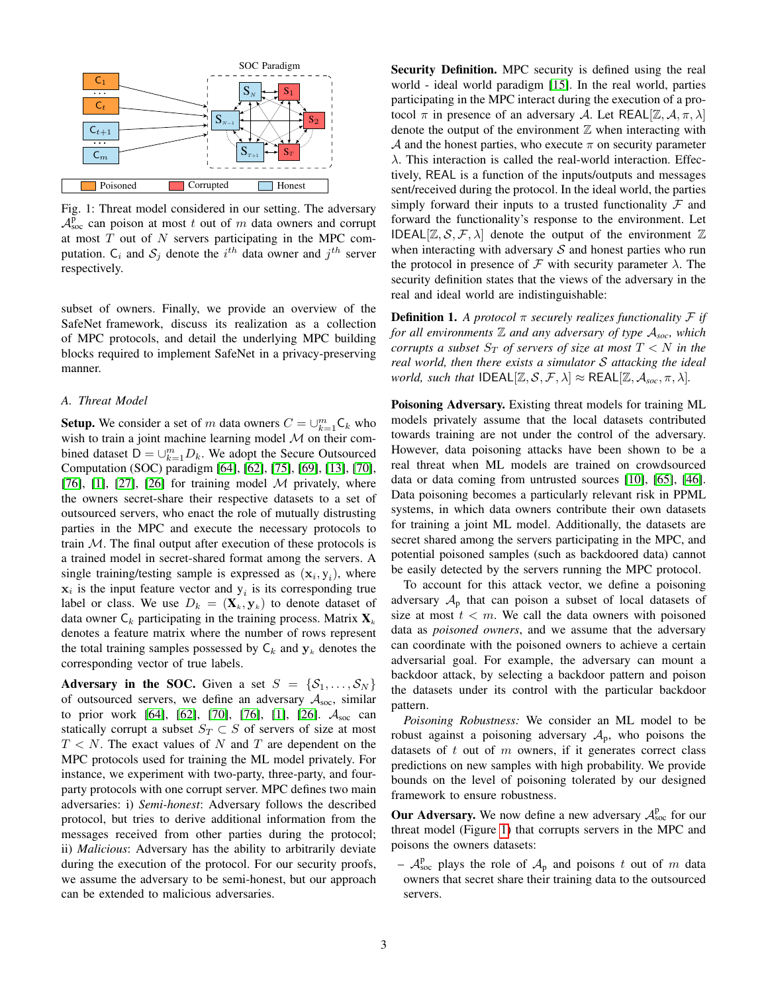<span id="page-2-0"></span>

Fig. 1: Threat model considered in our setting. The adversary  $A_{\text{soc}}^{\bar{p}}$  can poison at most t out of m data owners and corrupt at most  $T$  out of  $N$  servers participating in the MPC computation.  $C_i$  and  $S_j$  denote the  $i^{th}$  data owner and  $j^{th}$  server respectively.

subset of owners. Finally, we provide an overview of the SafeNet framework, discuss its realization as a collection of MPC protocols, and detail the underlying MPC building blocks required to implement SafeNet in a privacy-preserving manner.

# *A. Threat Model*

**Setup.** We consider a set of m data owners  $C = \bigcup_{k=1}^{m} C_k$  who wish to train a joint machine learning model  $M$  on their combined dataset  $D = \bigcup_{k=1}^{m} D_k$ . We adopt the Secure Outsourced Computation (SOC) paradigm [\[64\]](#page-14-0), [\[62\]](#page-14-1), [\[75\]](#page-14-2), [\[69\]](#page-14-3), [\[13\]](#page-13-17), [\[70\]](#page-14-10), [\[76\]](#page-14-4), [\[1\]](#page-13-2), [\[27\]](#page-13-1), [\[26\]](#page-13-0) for training model  $M$  privately, where the owners secret-share their respective datasets to a set of outsourced servers, who enact the role of mutually distrusting parties in the MPC and execute the necessary protocols to train  $M$ . The final output after execution of these protocols is a trained model in secret-shared format among the servers. A single training/testing sample is expressed as  $(\mathbf{x}_i, \mathbf{y}_i)$ , where  $x_i$  is the input feature vector and  $y_i$  is its corresponding true label or class. We use  $D_k = (\mathbf{X}_k, \mathbf{y}_k)$  to denote dataset of data owner  $C_k$  participating in the training process. Matrix  $X_k$ denotes a feature matrix where the number of rows represent the total training samples possessed by  $C_k$  and  $y_k$  denotes the corresponding vector of true labels.

Adversary in the SOC. Given a set  $S = \{S_1, \ldots, S_N\}$ of outsourced servers, we define an adversary  $A_{\text{soc}}$ , similar to prior work [\[64\]](#page-14-0), [\[62\]](#page-14-1), [\[70\]](#page-14-10), [\[76\]](#page-14-4), [\[1\]](#page-13-2), [\[26\]](#page-13-0).  $A_{\text{soc}}$  can statically corrupt a subset  $S_T \subset S$  of servers of size at most  $T < N$ . The exact values of N and T are dependent on the MPC protocols used for training the ML model privately. For instance, we experiment with two-party, three-party, and fourparty protocols with one corrupt server. MPC defines two main adversaries: i) *Semi-honest*: Adversary follows the described protocol, but tries to derive additional information from the messages received from other parties during the protocol; ii) *Malicious*: Adversary has the ability to arbitrarily deviate during the execution of the protocol. For our security proofs, we assume the adversary to be semi-honest, but our approach can be extended to malicious adversaries.

Security Definition. MPC security is defined using the real world - ideal world paradigm [\[15\]](#page-13-33). In the real world, parties participating in the MPC interact during the execution of a protocol  $\pi$  in presence of an adversary A. Let REAL[Z, A,  $\pi$ ,  $\lambda$ ] denote the output of the environment  $Z$  when interacting with A and the honest parties, who execute  $\pi$  on security parameter  $\lambda$ . This interaction is called the real-world interaction. Effectively, REAL is a function of the inputs/outputs and messages sent/received during the protocol. In the ideal world, the parties simply forward their inputs to a trusted functionality  $\mathcal F$  and forward the functionality's response to the environment. Let IDEAL $[\mathbb{Z}, \mathcal{S}, \mathcal{F}, \lambda]$  denote the output of the environment  $\mathbb Z$ when interacting with adversary  $S$  and honest parties who run the protocol in presence of F with security parameter  $\lambda$ . The security definition states that the views of the adversary in the real and ideal world are indistinguishable:

<span id="page-2-1"></span>**Definition 1.** *A protocol*  $\pi$  *securely realizes functionality*  $\mathcal{F}$  *if for all environments*  $\mathbb{Z}$  *and any adversary of type*  $A_{\text{soc}}$ *, which corrupts a subset*  $S_T$  *of servers of size at most*  $T < N$  *in the real world, then there exists a simulator* S *attacking the ideal world, such that*  $IDEAL[\mathbb{Z}, \mathcal{S}, \mathcal{F}, \lambda] \approx REAL[\mathbb{Z}, \mathcal{A}_{soc}, \pi, \lambda]$ .

Poisoning Adversary. Existing threat models for training ML models privately assume that the local datasets contributed towards training are not under the control of the adversary. However, data poisoning attacks have been shown to be a real threat when ML models are trained on crowdsourced data or data coming from untrusted sources [\[10\]](#page-13-3), [\[65\]](#page-14-14), [\[46\]](#page-13-4). Data poisoning becomes a particularly relevant risk in PPML systems, in which data owners contribute their own datasets for training a joint ML model. Additionally, the datasets are secret shared among the servers participating in the MPC, and potential poisoned samples (such as backdoored data) cannot be easily detected by the servers running the MPC protocol.

To account for this attack vector, we define a poisoning adversary  $A<sub>p</sub>$  that can poison a subset of local datasets of size at most  $t < m$ . We call the data owners with poisoned data as *poisoned owners*, and we assume that the adversary can coordinate with the poisoned owners to achieve a certain adversarial goal. For example, the adversary can mount a backdoor attack, by selecting a backdoor pattern and poison the datasets under its control with the particular backdoor pattern.

*Poisoning Robustness:* We consider an ML model to be robust against a poisoning adversary  $A_p$ , who poisons the datasets of  $t$  out of  $m$  owners, if it generates correct class predictions on new samples with high probability. We provide bounds on the level of poisoning tolerated by our designed framework to ensure robustness.

Our Adversary. We now define a new adversary  $A<sub>soc</sub><sup>p</sup>$  for our threat model (Figure [1\)](#page-2-0) that corrupts servers in the MPC and poisons the owners datasets:

-  $\mathcal{A}^{\text{p}}_{\text{soc}}$  plays the role of  $\mathcal{A}_{\text{p}}$  and poisons t out of m data owners that secret share their training data to the outsourced servers.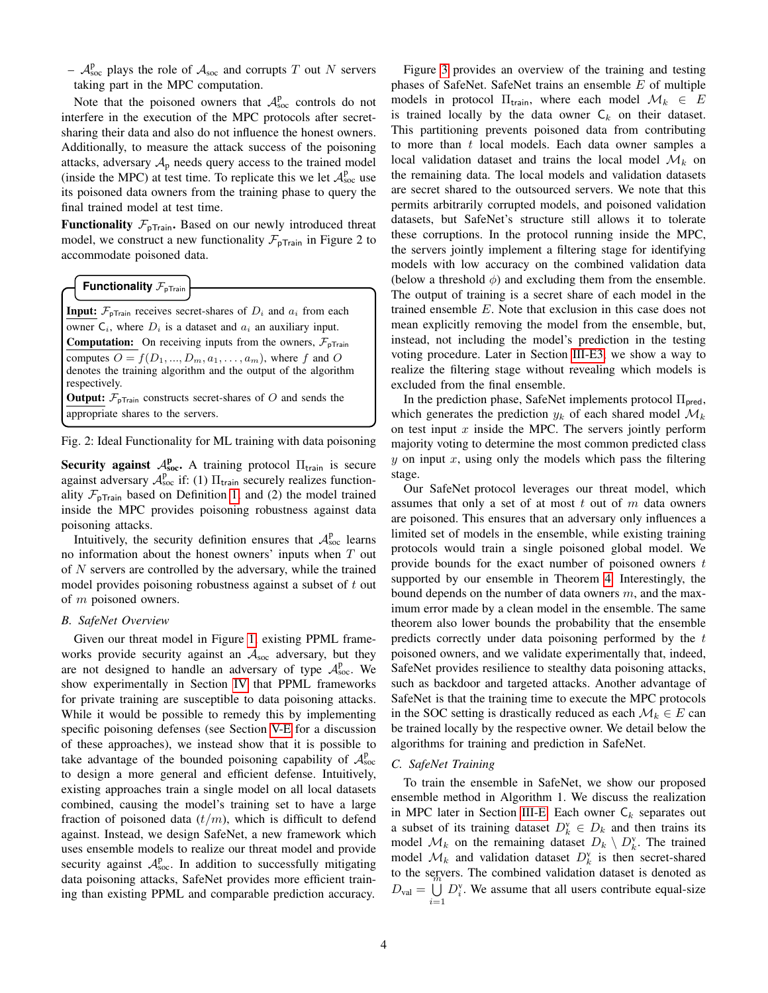$\mathcal{A}^{\text{p}}_{\text{soc}}$  plays the role of  $\mathcal{A}_{\text{soc}}$  and corrupts T out N servers taking part in the MPC computation.

Note that the poisoned owners that  $A_{\text{soc}}^{\text{p}}$  controls do not interfere in the execution of the MPC protocols after secretsharing their data and also do not influence the honest owners. Additionally, to measure the attack success of the poisoning attacks, adversary  $A_p$  needs query access to the trained model (inside the MPC) at test time. To replicate this we let  $A_{\text{soc}}^{\text{p}}$  use its poisoned data owners from the training phase to query the final trained model at test time.

**Functionality**  $\mathcal{F}_{\text{pTrain}}$ . Based on our newly introduced threat model, we construct a new functionality  $\mathcal{F}_{\text{pTrain}}$  in Figure 2 to accommodate poisoned data.

**Functionality**  $\mathcal{F}_{\text{pTrain}}$ 

**Input:**  $\mathcal{F}_{\text{pTrain}}$  receives secret-shares of  $D_i$  and  $a_i$  from each owner  $C_i$ , where  $D_i$  is a dataset and  $a_i$  an auxiliary input. **Computation:** On receiving inputs from the owners,  $\mathcal{F}_{\text{pTrain}}$ computes  $O = f(D_1, ..., D_m, a_1, ..., a_m)$ , where f and O denotes the training algorithm and the output of the algorithm respectively.

**Output:**  $\mathcal{F}_{\text{pTrain}}$  constructs secret-shares of O and sends the appropriate shares to the servers.

Fig. 2: Ideal Functionality for ML training with data poisoning

Security against  $A_{\text{soc}}^{\text{p}}$ . A training protocol  $\Pi_{\text{train}}$  is secure against adversary  $A_{\text{soc}}^{\text{p}}$  if: (1)  $\Pi_{\text{train}}$  securely realizes functionality  $\mathcal{F}_{\text{pTrain}}$  based on Definition [1;](#page-2-1) and (2) the model trained inside the MPC provides poisoning robustness against data poisoning attacks.

Intuitively, the security definition ensures that  $A_{\text{soc}}^{\text{p}}$  learns no information about the honest owners' inputs when  $T$  out of N servers are controlled by the adversary, while the trained model provides poisoning robustness against a subset of  $t$  out of m poisoned owners.

#### *B. SafeNet Overview*

Given our threat model in Figure [1,](#page-2-0) existing PPML frameworks provide security against an  $A<sub>soc</sub>$  adversary, but they are not designed to handle an adversary of type  $A_{\text{soc}}^{\text{p}}$ . We show experimentally in Section [IV](#page-7-0) that PPML frameworks for private training are susceptible to data poisoning attacks. While it would be possible to remedy this by implementing specific poisoning defenses (see Section [V-E](#page-11-0) for a discussion of these approaches), we instead show that it is possible to take advantage of the bounded poisoning capability of  $A_{\text{soc}}^{\text{p}}$ to design a more general and efficient defense. Intuitively, existing approaches train a single model on all local datasets combined, causing the model's training set to have a large fraction of poisoned data  $(t/m)$ , which is difficult to defend against. Instead, we design SafeNet, a new framework which uses ensemble models to realize our threat model and provide security against  $A_{\text{soc}}^{\text{p}}$ . In addition to successfully mitigating data poisoning attacks, SafeNet provides more efficient training than existing PPML and comparable prediction accuracy.

Figure [3](#page-4-0) provides an overview of the training and testing phases of SafeNet. SafeNet trains an ensemble E of multiple models in protocol  $\Pi_{\text{train}}$ , where each model  $\mathcal{M}_k \in E$ is trained locally by the data owner  $C_k$  on their dataset. This partitioning prevents poisoned data from contributing to more than  $t$  local models. Each data owner samples a local validation dataset and trains the local model  $\mathcal{M}_k$  on the remaining data. The local models and validation datasets are secret shared to the outsourced servers. We note that this permits arbitrarily corrupted models, and poisoned validation datasets, but SafeNet's structure still allows it to tolerate these corruptions. In the protocol running inside the MPC, the servers jointly implement a filtering stage for identifying models with low accuracy on the combined validation data (below a threshold  $\phi$ ) and excluding them from the ensemble. The output of training is a secret share of each model in the trained ensemble E. Note that exclusion in this case does not mean explicitly removing the model from the ensemble, but, instead, not including the model's prediction in the testing voting procedure. Later in Section [III-E3,](#page-6-0) we show a way to realize the filtering stage without revealing which models is excluded from the final ensemble.

In the prediction phase, SafeNet implements protocol  $\Pi_{\text{pred}}$ , which generates the prediction  $y_k$  of each shared model  $\mathcal{M}_k$ on test input  $x$  inside the MPC. The servers jointly perform majority voting to determine the most common predicted class  $y$  on input  $x$ , using only the models which pass the filtering stage.

Our SafeNet protocol leverages our threat model, which assumes that only a set of at most  $t$  out of  $m$  data owners are poisoned. This ensures that an adversary only influences a limited set of models in the ensemble, while existing training protocols would train a single poisoned global model. We provide bounds for the exact number of poisoned owners  $t$ supported by our ensemble in Theorem [4.](#page-5-0) Interestingly, the bound depends on the number of data owners  $m$ , and the maximum error made by a clean model in the ensemble. The same theorem also lower bounds the probability that the ensemble predicts correctly under data poisoning performed by the t poisoned owners, and we validate experimentally that, indeed, SafeNet provides resilience to stealthy data poisoning attacks, such as backdoor and targeted attacks. Another advantage of SafeNet is that the training time to execute the MPC protocols in the SOC setting is drastically reduced as each  $\mathcal{M}_k \in E$  can be trained locally by the respective owner. We detail below the algorithms for training and prediction in SafeNet.

## <span id="page-3-0"></span>*C. SafeNet Training*

To train the ensemble in SafeNet, we show our proposed ensemble method in Algorithm 1. We discuss the realization in MPC later in Section [III-E.](#page-5-1) Each owner  $C_k$  separates out a subset of its training dataset  $D_k^{\mathbf{v}} \in D_k$  and then trains its model  $\mathcal{M}_k$  on the remaining dataset  $D_k \setminus D_k^{\mathsf{v}}$ . The trained model  $\mathcal{M}_k$  and validation dataset  $D_k^{\text{v}}$  is then secret-shared to the servers. The combined validation dataset is denoted as  $D_{\text{val}} = \bigcup_{n=1}^{\infty}$  $i=1$  $D_i^{\rm v}$ . We assume that all users contribute equal-size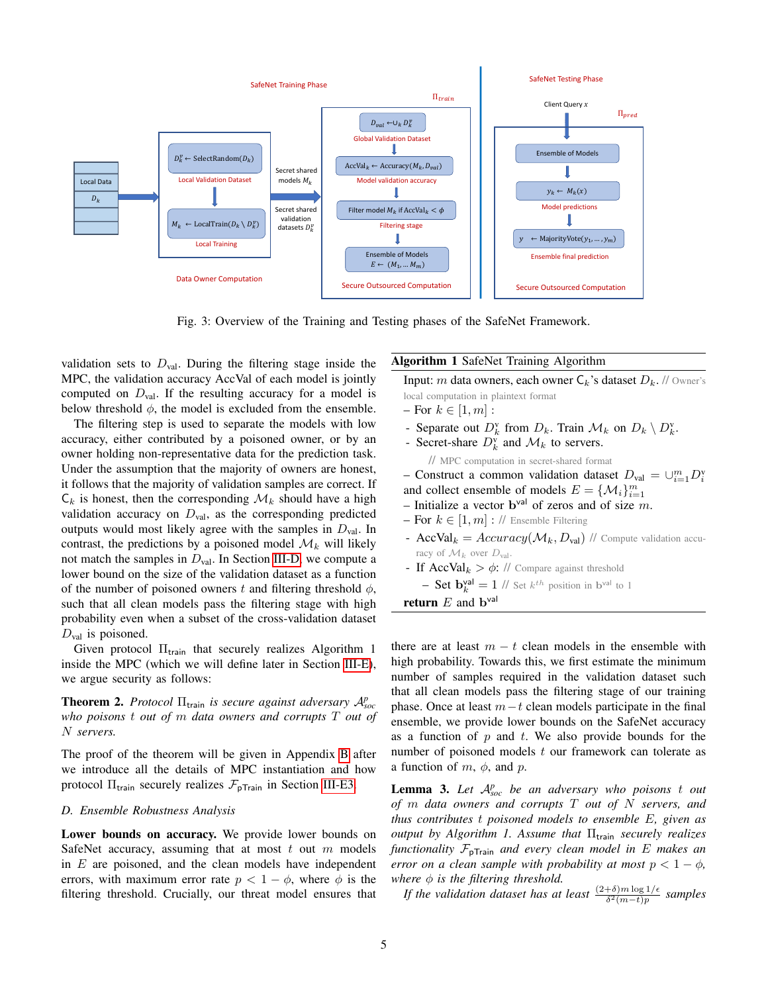<span id="page-4-0"></span>

Fig. 3: Overview of the Training and Testing phases of the SafeNet Framework.

validation sets to  $D_{\text{val}}$ . During the filtering stage inside the MPC, the validation accuracy AccVal of each model is jointly computed on  $D_{val}$ . If the resulting accuracy for a model is below threshold  $\phi$ , the model is excluded from the ensemble.

The filtering step is used to separate the models with low accuracy, either contributed by a poisoned owner, or by an owner holding non-representative data for the prediction task. Under the assumption that the majority of owners are honest, it follows that the majority of validation samples are correct. If  $\mathsf{C}_k$  is honest, then the corresponding  $\mathcal{M}_k$  should have a high validation accuracy on  $D_{\text{val}}$ , as the corresponding predicted outputs would most likely agree with the samples in  $D_{val}$ . In contrast, the predictions by a poisoned model  $\mathcal{M}_k$  will likely not match the samples in  $D_{val}$ . In Section [III-D,](#page-4-1) we compute a lower bound on the size of the validation dataset as a function of the number of poisoned owners t and filtering threshold  $\phi$ , such that all clean models pass the filtering stage with high probability even when a subset of the cross-validation dataset  $D_{\text{val}}$  is poisoned.

Given protocol  $\Pi_{\text{train}}$  that securely realizes Algorithm 1 inside the MPC (which we will define later in Section [III-E\)](#page-5-1), we argue security as follows:

<span id="page-4-3"></span>**Theorem 2.** *Protocol*  $\Pi$ <sub>train</sub> *is secure against adversary*  $A_{soc}^p$ *who poisons* t *out of* m *data owners and corrupts* T *out of* N *servers.*

The proof of the theorem will be given in Appendix [B](#page-15-0) after we introduce all the details of MPC instantiation and how protocol  $\Pi_{\text{train}}$  securely realizes  $\mathcal{F}_{\text{pTrain}}$  in Section [III-E3.](#page-6-0)

### <span id="page-4-1"></span>*D. Ensemble Robustness Analysis*

Lower bounds on accuracy. We provide lower bounds on SafeNet accuracy, assuming that at most  $t$  out  $m$  models in  $E$  are poisoned, and the clean models have independent errors, with maximum error rate  $p < 1 - \phi$ , where  $\phi$  is the filtering threshold. Crucially, our threat model ensures that

# Algorithm 1 SafeNet Training Algorithm

Input: m data owners, each owner  $C_k$ 's dataset  $D_k$ . // Owner's

- local computation in plaintext format
- For  $k \in [1, m]$ :
- Separate out  $D_k^{\mathsf{v}}$  from  $D_k$ . Train  $\mathcal{M}_k$  on  $D_k \setminus D_k^{\mathsf{v}}$ .
- Secret-share  $D_k^{\text{v}}$  and  $\mathcal{M}_k$  to servers.

// MPC computation in secret-shared format

- Construct a common validation dataset 
$$
D_{val} = \bigcup_{i=1}^{m} D_i^{\mathsf{v}}
$$

and collect ensemble of models  $E = \{M_i\}_{i=1}^m$ 

- Initialize a vector  $\mathbf{b}^{\text{val}}$  of zeros and of size m.
- For  $k \in [1, m]$ : // Ensemble Filtering
- AccVal<sub>k</sub> =  $Accuracy(\mathcal{M}_k, D_{val})$  // Compute validation accuracy of  $\mathcal{M}_k$  over  $D_{\text{val}}$ .
- If  $AccVal_k > \phi$ : // Compare against threshold
- **Set**  $\mathbf{b}_{k}^{\text{val}} = 1$  // Set  $k^{th}$  position in  $\mathbf{b}^{\text{val}}$  to 1 **return**  $E$  and  $\mathbf{b}^{\text{val}}$

there are at least  $m - t$  clean models in the ensemble with high probability. Towards this, we first estimate the minimum number of samples required in the validation dataset such that all clean models pass the filtering stage of our training phase. Once at least  $m-t$  clean models participate in the final ensemble, we provide lower bounds on the SafeNet accuracy as a function of  $p$  and  $t$ . We also provide bounds for the number of poisoned models  $t$  our framework can tolerate as a function of  $m, \phi$ , and  $p$ .

<span id="page-4-2"></span>Lemma 3. Let  $A_{soc}^p$  be an adversary who poisons t out *of* m *data owners and corrupts* T *out of* N *servers, and thus contributes* t *poisoned models to ensemble* E*, given as output by Algorithm 1. Assume that* Π<sub>train</sub> *securely realizes functionality*  $\mathcal{F}_{\text{pTrain}}$  *and every clean model in*  $E$  *makes an error on a clean sample with probability at most*  $p < 1 - \phi$ , *where*  $\phi$  *is the filtering threshold.* 

*If the validation dataset has at least*  $\frac{(2+\delta)m\log 1/\epsilon}{\delta^2(m-t)p}$  samples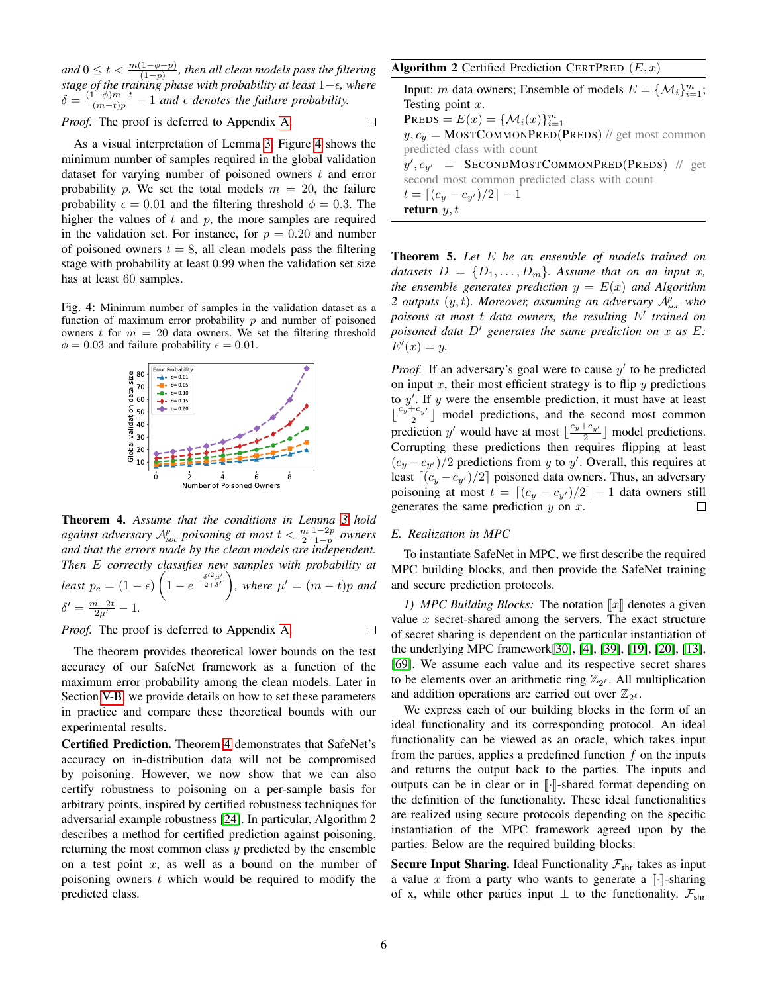and  $0 \leq t < \frac{m(1-\phi-p)}{(1-p)}$ , then all clean models pass the filtering *stage of the training phase with probability at least* 1−*, where*  $\delta = \frac{(1-\phi)m-t}{(m-t)p} - 1$  and  $\epsilon$  denotes the failure probability.

 $\Box$ 

*Proof.* The proof is deferred to Appendix [A.](#page-14-15)

As a visual interpretation of Lemma [3,](#page-4-2) Figure [4](#page-5-2) shows the minimum number of samples required in the global validation dataset for varying number of poisoned owners  $t$  and error probability p. We set the total models  $m = 20$ , the failure probability  $\epsilon = 0.01$  and the filtering threshold  $\phi = 0.3$ . The higher the values of  $t$  and  $p$ , the more samples are required in the validation set. For instance, for  $p = 0.20$  and number of poisoned owners  $t = 8$ , all clean models pass the filtering stage with probability at least 0.99 when the validation set size has at least 60 samples.

<span id="page-5-2"></span>Fig. 4: Minimum number of samples in the validation dataset as a function of maximum error probability  $p$  and number of poisoned owners t for  $m = 20$  data owners. We set the filtering threshold  $\phi = 0.03$  and failure probability  $\epsilon = 0.01$ .



<span id="page-5-0"></span>Theorem 4. *Assume that the conditions in Lemma [3](#page-4-2) hold*  $a$ gainst adversary  $\mathcal{A}_{soc}^p$  poisoning at most  $t < \frac{m}{2} \frac{1-2p}{1-p}$  owners *and that the errors made by the clean models are independent. Then* E *correctly classifies new samples with probability at least*  $p_c = (1 - \epsilon) \left(1 - e^{-\frac{\delta'^2 \mu'}{2 + \delta'}}\right)$ , where  $\mu' = (m - t)p$  and  $\delta' = \frac{m-2t}{2\mu'} - 1.$ 

*Proof.* The proof is deferred to Appendix [A.](#page-15-1)  $\Box$ 

The theorem provides theoretical lower bounds on the test accuracy of our SafeNet framework as a function of the maximum error probability among the clean models. Later in Section [V-B,](#page-10-0) we provide details on how to set these parameters in practice and compare these theoretical bounds with our experimental results.

<span id="page-5-3"></span>Certified Prediction. Theorem [4](#page-5-0) demonstrates that SafeNet's accuracy on in-distribution data will not be compromised by poisoning. However, we now show that we can also certify robustness to poisoning on a per-sample basis for arbitrary points, inspired by certified robustness techniques for adversarial example robustness [\[24\]](#page-13-34). In particular, Algorithm 2 describes a method for certified prediction against poisoning, returning the most common class  $y$  predicted by the ensemble on a test point  $x$ , as well as a bound on the number of poisoning owners  $t$  which would be required to modify the predicted class.

# Algorithm 2 Certified Prediction CERTPRED  $(E, x)$

Input: *m* data owners; Ensemble of models  $E = \{M_i\}_{i=1}^m$ ; Testing point  $x$ . PREDS =  $E(x) = {\mathcal{M}_i(x)}_{i=1}^m$  $y, c_y =$ MOSTCOMMONPRED(PREDS) // get most common predicted class with count  $y', c_{y'}$  = SECONDMOSTCOMMONPRED(PREDS) // get second most common predicted class with count  $t = \lfloor (c_y - c_{y'})/2 \rfloor - 1$ return  $y, t$ 

Theorem 5. *Let* E *be an ensemble of models trained on datasets*  $D = \{D_1, \ldots, D_m\}$ *. Assume that on an input x, the ensemble generates prediction*  $y = E(x)$  *and Algorithm 2 outputs* (y, t)*. Moreover, assuming an adversary* A*<sup>p</sup> soc who* poisons at most t data owners, the resulting E' trained on *poisoned data*  $D'$  *generates the same prediction on*  $x$  *as*  $E$ *:*  $E'(x) = y.$ 

*Proof.* If an adversary's goal were to cause  $y'$  to be predicted on input  $x$ , their most efficient strategy is to flip  $y$  predictions to  $y'$ . If y were the ensemble prediction, it must have at least  $\lfloor \frac{c_y+c_{y'}}{2} \rfloor$  model predictions, and the second most common  $\lfloor \frac{n_2}{2} \rfloor$  model predictions, and the second most common<br>prediction y' would have at most  $\lfloor \frac{c_y+c_{y'}}{2} \rfloor$  model predictions. Corrupting these predictions then requires flipping at least  $(c_y - c_{y'})/2$  predictions from y to y'. Overall, this requires at least  $\left[\left(c_y -c_{y'}\right)/2\right]$  poisoned data owners. Thus, an adversary poisoning at most  $t = \lfloor (c_y - c_{y'})/2 \rfloor - 1$  data owners still generates the same prediction  $y$  on  $x$ .  $\Box$ 

#### <span id="page-5-1"></span>*E. Realization in MPC*

To instantiate SafeNet in MPC, we first describe the required MPC building blocks, and then provide the SafeNet training and secure prediction protocols.

*1) MPC Building Blocks:* The notation  $\llbracket x \rrbracket$  denotes a given value  $x$  secret-shared among the servers. The exact structure of secret sharing is dependent on the particular instantiation of the underlying MPC framework[\[30\]](#page-13-9), [\[4\]](#page-13-10), [\[39\]](#page-13-23), [\[19\]](#page-13-16), [\[20\]](#page-13-24), [\[13\]](#page-13-17), [\[69\]](#page-14-3). We assume each value and its respective secret shares to be elements over an arithmetic ring  $\mathbb{Z}_{2^{\ell}}$ . All multiplication and addition operations are carried out over  $\mathbb{Z}_{2^{\ell}}$ .

We express each of our building blocks in the form of an ideal functionality and its corresponding protocol. An ideal functionality can be viewed as an oracle, which takes input from the parties, applies a predefined function  $f$  on the inputs and returns the output back to the parties. The inputs and outputs can be in clear or in  $\lbrack \cdot \rbrack$ -shared format depending on the definition of the functionality. These ideal functionalities are realized using secure protocols depending on the specific instantiation of the MPC framework agreed upon by the parties. Below are the required building blocks:

Secure Input Sharing. Ideal Functionality  $\mathcal{F}_{\text{shr}}$  takes as input a value x from a party who wants to generate a  $\lbrack \cdot \rbrack$ -sharing of x, while other parties input  $\perp$  to the functionality.  $\mathcal{F}_{\text{shr}}$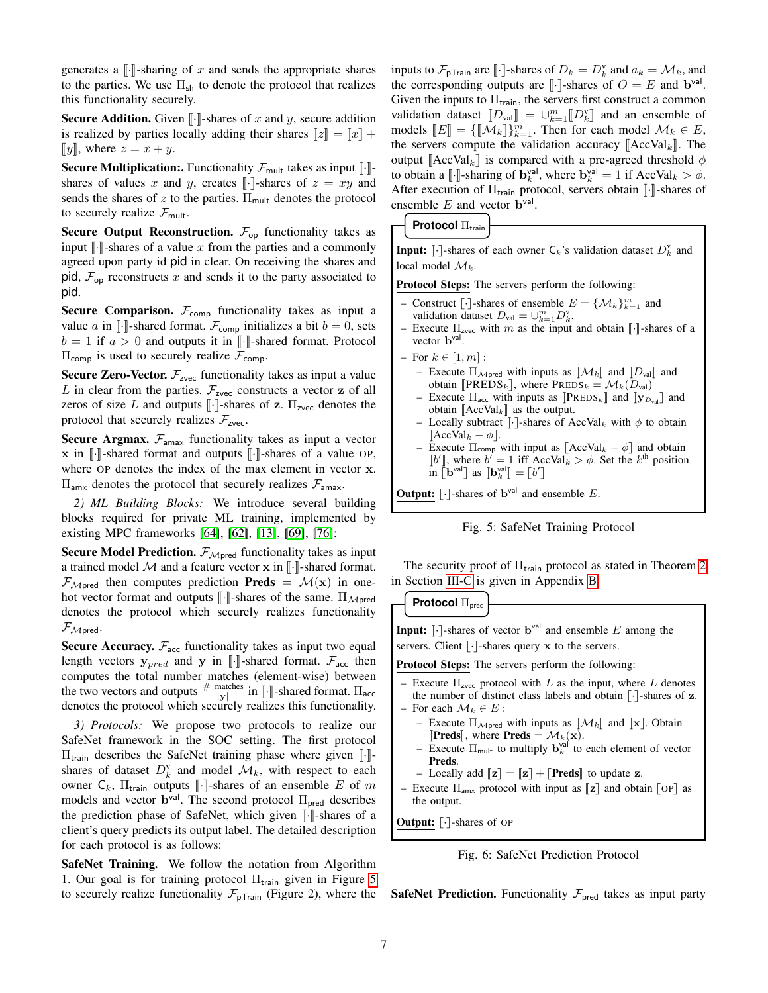generates a  $\lbrack \cdot \rbrack$ -sharing of x and sends the appropriate shares to the parties. We use  $\Pi_{\rm sh}$  to denote the protocol that realizes this functionality securely.

**Secure Addition.** Given  $\llbracket \cdot \rrbracket$ -shares of x and y, secure addition is realized by parties locally adding their shares  $||z|| = ||x|| +$ [y], where  $z = x + y$ .

**Secure Multiplication:.** Functionality  $\mathcal{F}_{\text{mult}}$  takes as input  $\llbracket \cdot \rrbracket$ shares of values x and y, creates  $\lbrack \cdot \rbrack$ -shares of  $z = xy$  and sends the shares of z to the parties.  $\Pi_{\text{mult}}$  denotes the protocol to securely realize  $\mathcal{F}_{\text{mult}}$ .

**Secure Output Reconstruction.**  $\mathcal{F}_{op}$  functionality takes as input  $\lceil \cdot \rceil$ -shares of a value x from the parties and a commonly agreed upon party id pid in clear. On receiving the shares and pid,  $\mathcal{F}_{op}$  reconstructs x and sends it to the party associated to pid.

**Secure Comparison.**  $\mathcal{F}_{\text{comp}}$  functionality takes as input a value a in  $\lbrack \cdot \rbrack$ -shared format.  $\mathcal{F}_{\text{comp}}$  initializes a bit  $b = 0$ , sets  $b = 1$  if  $a > 0$  and outputs it in [...]-shared format. Protocol  $\Pi_{\text{comp}}$  is used to securely realize  $\mathcal{F}_{\text{comp}}$ .

**Secure Zero-Vector.**  $\mathcal{F}_{\text{zvec}}$  functionality takes as input a value L in clear from the parties.  $\mathcal{F}_{\text{zvec}}$  constructs a vector z of all zeros of size L and outputs  $\llbracket \cdot \rrbracket$ -shares of z.  $\Pi_{\text{zvec}}$  denotes the protocol that securely realizes  $\mathcal{F}_{\text{zvec}}$ .

**Secure Argmax.**  $\mathcal{F}_{\text{amax}}$  functionality takes as input a vector  $x$  in  $\lbrack \cdot \rbrack$ -shared format and outputs  $\lbrack \cdot \rbrack$ -shares of a value OP, where OP denotes the index of the max element in vector x.  $\Pi_{\text{amx}}$  denotes the protocol that securely realizes  $\mathcal{F}_{\text{amax}}$ .

*2) ML Building Blocks:* We introduce several building blocks required for private ML training, implemented by existing MPC frameworks [\[64\]](#page-14-0), [\[62\]](#page-14-1), [\[13\]](#page-13-17), [\[69\]](#page-14-3), [\[76\]](#page-14-4):

Secure Model Prediction.  $\mathcal{F}_{\mathcal{M} \text{pred}}$  functionality takes as input a trained model M and a feature vector  $x$  in  $\lbrack \cdot \rbrack$ -shared format.  $\mathcal{F}_{\mathcal{M} \text{pred}}$  then computes prediction **Preds** =  $\mathcal{M}(x)$  in onehot vector format and outputs  $\lbrack \cdot \rbrack$ -shares of the same.  $\Pi_{\mathcal{M} \text{pred}}$ denotes the protocol which securely realizes functionality  $F_{Mpred}$ .

**Secure Accuracy.**  $\mathcal{F}_{\text{acc}}$  functionality takes as input two equal length vectors  $y_{pred}$  and y in [.]-shared format.  $\mathcal{F}_{\text{acc}}$  then computes the total number matches (element-wise) between the two vectors and outputs  $\frac{\text{# matches}}{|y|}$  in [I·Shared format.  $\Pi_{\text{acc}}$  denotes the protocol which securely realizes this functionality.

<span id="page-6-0"></span>*3) Protocols:* We propose two protocols to realize our SafeNet framework in the SOC setting. The first protocol  $\Pi_{\text{train}}$  describes the SafeNet training phase where given  $\lVert \cdot \rVert$ shares of dataset  $D_k^{\text{v}}$  and model  $\mathcal{M}_k$ , with respect to each owner  $C_k$ ,  $\Pi$ <sub>train</sub> outputs  $\llbracket \cdot \rrbracket$ -shares of an ensemble E of m models and vector  $\mathbf{b}^{\text{val}}$ . The second protocol  $\Pi_{\text{pred}}$  describes the prediction phase of SafeNet, which given  $\lbrack \cdot \rbrack$ -shares of a client's query predicts its output label. The detailed description for each protocol is as follows:

SafeNet Training. We follow the notation from Algorithm 1. Our goal is for training protocol  $\Pi_{\text{train}}$  given in Figure [5](#page-6-1) to securely realize functionality  $\mathcal{F}_{pTrain}$  (Figure 2), where the inputs to  $\mathcal{F}_{\text{pTrain}}$  are  $[\![\cdot]\!]$ -shares of  $D_k = D_k^{\text{v}}$  and  $a_k = \mathcal{M}_k$ , and the corresponding outputs are  $[\![\cdot]\!]$  shares of  $O = E$  and  $\mathbf{b}^{\text{val}}$ . the corresponding outputs are  $\llbracket \cdot \rrbracket$ -shares of  $O = E$  and  $\mathbf{b}^{\text{val}}$ .<br>Given the inputs to  $\Pi$  is the servers first construct a common Given the inputs to  $\Pi_{\text{train}}$ , the servers first construct a common validation dataset  $[D_{val}] = \bigcup_{k=1}^{m} [D_{k}^{V}]$  and an ensemble of model  $M_{\star} \subset F$ models  $[[E]] = \{ [\![\mathcal{M}_k]\!] \}_{k=1}^m$ . Then for each model  $\mathcal{M}_k \in E$ ,<br>the servers compute the volidation accuracy  $[\![\Lambda_{CC}]\!]$ . The the servers compute the validation accuracy  $[\text{AccVal}_k]$ . The output  $[\text{AccVal}_k]$  is compared with a pre-agreed threshold  $\phi$ to obtain a [[.] sharing of  $b_k^{\text{val}}$ , where  $b_k^{\text{val}} = 1$  if AccVal<sub>k</sub>  $> \phi$ . After execution of  $\Pi_{\text{train}}$  protocol, servers obtain  $\llbracket \cdot \rrbracket$ -shares of ensemble  $E$  and vector  $\mathbf{b}^{\text{val}}$ .

<span id="page-6-1"></span>**Protocol** Π<sub>train</sub>

**Input:**  $[\cdot]$ -shares of each owner  $C_k$ 's validation dataset  $D_k^{\nu}$  and local model  $\mathcal{M}_k$ .

Protocol Steps: The servers perform the following:

- Construct [*i*-]-shares of ensemble  $E = \{M_k\}_{k=1}^m$  and validation dataset  $D_{k-1} = \{M_k\}_{k=1}^m$ validation dataset  $D_{val} = \bigcup_{k=1}^{m} D_k^{v}$ .
- Execute  $\Pi_{\text{zvec}}$  with m as the input and obtain  $\Vert \cdot \Vert$ -shares of a vector  $\mathbf{b}^{\text{val}}$ .
- For  $k \in [1, m]$ :
	- Execute  $\Pi_{\mathcal{M} \text{pred}}$  with inputs as  $\llbracket \mathcal{M}_k \rrbracket$  and  $\llbracket D_{\text{val}} \rrbracket$  and obtain [ $\text{PREDS}_k$ ], where  $\text{PREDS}_k = \mathcal{M}_k(D_{\text{val}})$
	- Execute  $\Pi_{\text{acc}}$  with inputs as  $[\![\mathbf{P} \mathbf{REDS}_k]\!]$  and  $[\![\mathbf{y}_{D_{val}}]\!]$  and obtain  $[\text{AccVal}_k]$  as the output.
	- Locally subtract  $\llbracket \cdot \rrbracket$ -shares of AccVal<sub>k</sub> with  $\phi$  to obtain  $\llbracket \text{AccVal}_k \phi \rrbracket$ .  $[\text{AccVal}_k - \phi]$ .<br>Execute  $\Pi$
	- Execute Π<sub>comp</sub> with input as  $[\text{AccVal}_k \phi]$  and obtain  $[k']$  where  $k' = 1$  iff AccVal  $\geq \phi$ . Set the  $k^{\text{th}}$  position  $\llbracket b' \rrbracket$ , where  $b' = 1$  iff  $\text{AccVal}_k > \phi$ . Set the  $k^{\text{th}}$  position<br>in  $\llbracket \mathbf{b}^{\text{val}} \rrbracket$  as  $\llbracket \mathbf{b}^{\text{val}} \rrbracket = \llbracket b' \rrbracket$ in  $\[\mathbf{b}^{\text{val}}\]$  as  $\[\mathbf{b}_k^{\text{val}}\] = \[\![b']\]$

**Output:**  $[\![\cdot]\!]$ -shares of  $\mathbf{b}^{\text{val}}$  and ensemble  $E$ .



The security proof of  $\Pi_{\text{train}}$  protocol as stated in Theorem [2](#page-4-3) in Section [III-C](#page-3-0) is given in Appendix [B.](#page-15-2)

**Protocol** Πpred

**Input:**  $\left[\cdot\right]$ -shares of vector  $\mathbf{b}^{\text{val}}$  and ensemble E among the servers. Client  $\lceil \cdot \rceil$ -shares query x to the servers.

Protocol Steps: The servers perform the following:

- Execute  $\Pi_{\text{zvec}}$  protocol with L as the input, where L denotes the number of distinct class labels and obtain  $\llbracket \cdot \rrbracket$ -shares of **z**. – For each  $\mathcal{M}_k \in E$ :
	- Execute  $\Pi_{\mathcal{M} \text{pred}}$  with inputs as  $\llbracket \mathcal{M}_k \rrbracket$  and  $\llbracket \mathbf{x} \rrbracket$ . Obtain **[Preds**], where **Preds** =  $\mathcal{M}_k(\mathbf{x})$ .
	- Execute  $\Pi_{\text{mult}}$  to multiply  $\mathbf{b}_k^{\text{val}}$  to each element of vector Preds.
	- Locally add  $\llbracket z \rrbracket = \llbracket z \rrbracket + \llbracket \text{Preds} \rrbracket$  to update z.
- Execute  $\Pi_{amx}$  protocol with input as  $\llbracket z \rrbracket$  and obtain  $\llbracket \text{OP} \rrbracket$  as the output.

**Output:**  $\lbrack \cdot \rbrack$ -shares of OP

Fig. 6: SafeNet Prediction Protocol

**SafeNet Prediction.** Functionality  $\mathcal{F}_{pred}$  takes as input party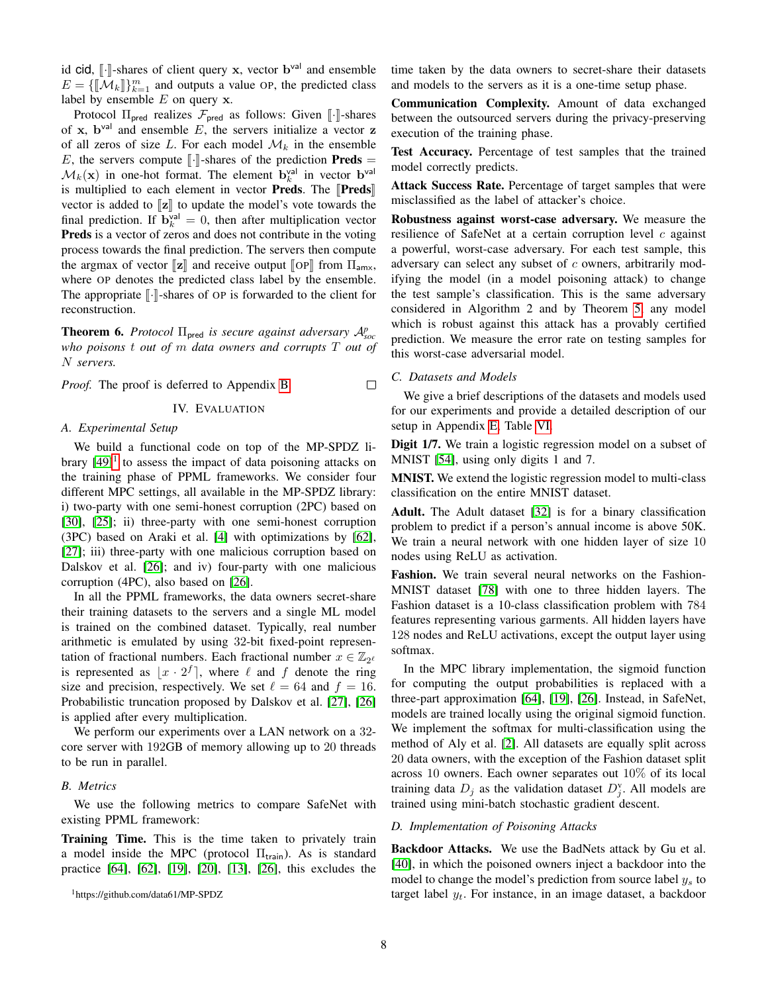id cid,  $[\cdot]$ -shares of client query x, vector b<sup>val</sup> and ensemble<br> $F = [\mathbb{I}[M], \mathbb{I}]^m$  and outputs a value Op the predicted class  $E = \{\llbracket \mathcal{M}_k \rrbracket\}_{k=1}^m$  and outputs a value OP, the predicted class label by ensemble  $E$  on query  $x$ .

Protocol  $\Pi_{\text{pred}}$  realizes  $\mathcal{F}_{\text{pred}}$  as follows: Given  $\llbracket \cdot \rrbracket$ -shares of x,  $\mathbf{b}^{\text{val}}$  and ensemble E, the servers initialize a vector z of all zeros of size L. For each model  $\mathcal{M}_k$  in the ensemble E, the servers compute  $\llbracket \cdot \rrbracket$ -shares of the prediction **Preds** =  $\mathcal{M}_k(\mathbf{x})$  in one-hot format. The element  $\mathbf{b}_k^{\text{val}}$  in vector  $\mathbf{b}^{\text{val}}$ is multiplied to each element in vector **Preds**. The  $\Vert \text{Preds} \Vert$ vector is added to  $\llbracket z \rrbracket$  to update the model's vote towards the final prediction. If  $\mathbf{b}_k^{\text{val}} = 0$ , then after multiplication vector Preds is a vector of zeros and does not contribute in the voting process towards the final prediction. The servers then compute the argmax of vector  $\llbracket z \rrbracket$  and receive output  $\llbracket \text{OP} \rrbracket$  from  $\Pi_{\text{amx}}$ , where OP denotes the predicted class label by the ensemble. The appropriate  $\lbrack \cdot \rbrack$ -shares of OP is forwarded to the client for reconstruction.

**Theorem 6.** *Protocol*  $\Pi_{\text{pred}}$  *is secure against adversary*  $\mathcal{A}_{soc}^p$ *who poisons* t *out of* m *data owners and corrupts* T *out of* N *servers.*

<span id="page-7-0"></span>*Proof.* The proof is deferred to Appendix [B.](#page-16-0)

## IV. EVALUATION

## *A. Experimental Setup*

We build a functional code on top of the MP-SPDZ library  $[49]$ <sup>[1](#page-7-1)</sup> to assess the impact of data poisoning attacks on the training phase of PPML frameworks. We consider four different MPC settings, all available in the MP-SPDZ library: i) two-party with one semi-honest corruption (2PC) based on [\[30\]](#page-13-9), [\[25\]](#page-13-36); ii) three-party with one semi-honest corruption (3PC) based on Araki et al. [\[4\]](#page-13-10) with optimizations by [\[62\]](#page-14-1), [\[27\]](#page-13-1); iii) three-party with one malicious corruption based on Dalskov et al. [\[26\]](#page-13-0); and iv) four-party with one malicious corruption (4PC), also based on [\[26\]](#page-13-0).

In all the PPML frameworks, the data owners secret-share their training datasets to the servers and a single ML model is trained on the combined dataset. Typically, real number arithmetic is emulated by using 32-bit fixed-point representation of fractional numbers. Each fractional number  $x \in \mathbb{Z}_{2^e}$ is represented as  $\lfloor x \cdot 2^f \rfloor$ , where  $\ell$  and  $f$  denote the ring size and precision, respectively. We set  $\ell = 64$  and  $f = 16$ . Probabilistic truncation proposed by Dalskov et al. [\[27\]](#page-13-1), [\[26\]](#page-13-0) is applied after every multiplication.

We perform our experiments over a LAN network on a 32 core server with 192GB of memory allowing up to 20 threads to be run in parallel.

#### *B. Metrics*

We use the following metrics to compare SafeNet with existing PPML framework:

Training Time. This is the time taken to privately train a model inside the MPC (protocol  $\Pi_{\text{train}}$ ). As is standard practice [\[64\]](#page-14-0), [\[62\]](#page-14-1), [\[19\]](#page-13-16), [\[20\]](#page-13-24), [\[13\]](#page-13-17), [\[26\]](#page-13-0), this excludes the time taken by the data owners to secret-share their datasets and models to the servers as it is a one-time setup phase.

Communication Complexity. Amount of data exchanged between the outsourced servers during the privacy-preserving execution of the training phase.

Test Accuracy. Percentage of test samples that the trained model correctly predicts.

Attack Success Rate. Percentage of target samples that were misclassified as the label of attacker's choice.

Robustness against worst-case adversary. We measure the resilience of SafeNet at a certain corruption level  $c$  against a powerful, worst-case adversary. For each test sample, this adversary can select any subset of c owners, arbitrarily modifying the model (in a model poisoning attack) to change the test sample's classification. This is the same adversary considered in Algorithm 2 and by Theorem [5,](#page-5-3) any model which is robust against this attack has a provably certified prediction. We measure the error rate on testing samples for this worst-case adversarial model.

### *C. Datasets and Models*

 $\Box$ 

We give a brief descriptions of the datasets and models used for our experiments and provide a detailed description of our setup in Appendix [E,](#page-18-0) Table [VI.](#page-19-0)

Digit 1/7. We train a logistic regression model on a subset of MNIST [\[54\]](#page-13-37), using only digits 1 and 7.

MNIST. We extend the logistic regression model to multi-class classification on the entire MNIST dataset.

Adult. The Adult dataset [\[32\]](#page-13-38) is for a binary classification problem to predict if a person's annual income is above 50K. We train a neural network with one hidden layer of size 10 nodes using ReLU as activation.

Fashion. We train several neural networks on the Fashion-MNIST dataset [\[78\]](#page-14-16) with one to three hidden layers. The Fashion dataset is a 10-class classification problem with 784 features representing various garments. All hidden layers have 128 nodes and ReLU activations, except the output layer using softmax.

In the MPC library implementation, the sigmoid function for computing the output probabilities is replaced with a three-part approximation [\[64\]](#page-14-0), [\[19\]](#page-13-16), [\[26\]](#page-13-0). Instead, in SafeNet, models are trained locally using the original sigmoid function. We implement the softmax for multi-classification using the method of Aly et al. [\[2\]](#page-13-39). All datasets are equally split across 20 data owners, with the exception of the Fashion dataset split across 10 owners. Each owner separates out 10% of its local training data  $D_j$  as the validation dataset  $D_j^{\rm v}$ . All models are trained using mini-batch stochastic gradient descent.

#### <span id="page-7-2"></span>*D. Implementation of Poisoning Attacks*

Backdoor Attacks. We use the BadNets attack by Gu et al. [\[40\]](#page-13-5), in which the poisoned owners inject a backdoor into the model to change the model's prediction from source label  $y_s$  to target label  $y_t$ . For instance, in an image dataset, a backdoor

<span id="page-7-1"></span><sup>1</sup>https://github.com/data61/MP-SPDZ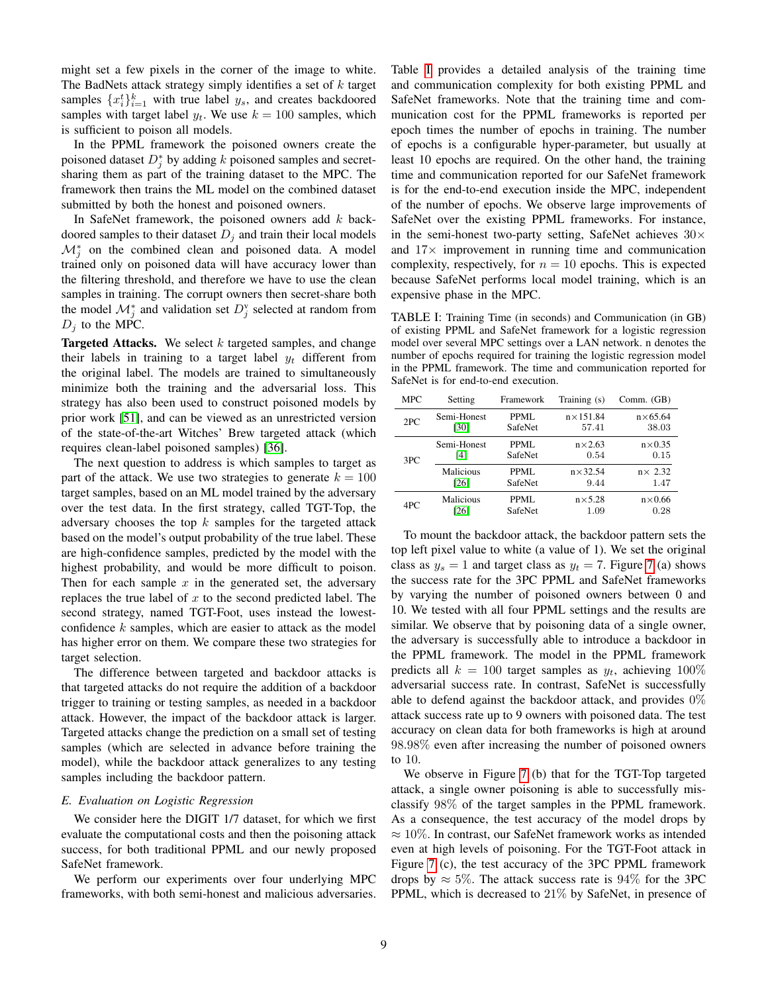might set a few pixels in the corner of the image to white. The BadNets attack strategy simply identifies a set of  $k$  target samples  $\{x_i^t\}_{i=1}^k$  with true label  $y_s$ , and creates backdoored samples with target label  $y_t$ . We use  $k = 100$  samples, which is sufficient to poison all models.

In the PPML framework the poisoned owners create the poisoned dataset  $D_j^*$  by adding k poisoned samples and secretsharing them as part of the training dataset to the MPC. The framework then trains the ML model on the combined dataset submitted by both the honest and poisoned owners.

In SafeNet framework, the poisoned owners add  $k$  backdoored samples to their dataset  $D_i$  and train their local models  $\mathcal{M}_{j}^{*}$  on the combined clean and poisoned data. A model trained only on poisoned data will have accuracy lower than the filtering threshold, and therefore we have to use the clean samples in training. The corrupt owners then secret-share both the model  $\mathcal{M}_{j}^{*}$  and validation set  $D_{j}^{v}$  selected at random from  $D_i$  to the MPC.

Targeted Attacks. We select  $k$  targeted samples, and change their labels in training to a target label  $y_t$  different from the original label. The models are trained to simultaneously minimize both the training and the adversarial loss. This strategy has also been used to construct poisoned models by prior work [\[51\]](#page-13-26), and can be viewed as an unrestricted version of the state-of-the-art Witches' Brew targeted attack (which requires clean-label poisoned samples) [\[36\]](#page-13-6).

The next question to address is which samples to target as part of the attack. We use two strategies to generate  $k = 100$ target samples, based on an ML model trained by the adversary over the test data. In the first strategy, called TGT-Top, the adversary chooses the top  $k$  samples for the targeted attack based on the model's output probability of the true label. These are high-confidence samples, predicted by the model with the highest probability, and would be more difficult to poison. Then for each sample  $x$  in the generated set, the adversary replaces the true label of  $x$  to the second predicted label. The second strategy, named TGT-Foot, uses instead the lowestconfidence  $k$  samples, which are easier to attack as the model has higher error on them. We compare these two strategies for target selection.

The difference between targeted and backdoor attacks is that targeted attacks do not require the addition of a backdoor trigger to training or testing samples, as needed in a backdoor attack. However, the impact of the backdoor attack is larger. Targeted attacks change the prediction on a small set of testing samples (which are selected in advance before training the model), while the backdoor attack generalizes to any testing samples including the backdoor pattern.

## *E. Evaluation on Logistic Regression*

We consider here the DIGIT 1/7 dataset, for which we first evaluate the computational costs and then the poisoning attack success, for both traditional PPML and our newly proposed SafeNet framework.

We perform our experiments over four underlying MPC frameworks, with both semi-honest and malicious adversaries.

Table [I](#page-8-0) provides a detailed analysis of the training time and communication complexity for both existing PPML and SafeNet frameworks. Note that the training time and communication cost for the PPML frameworks is reported per epoch times the number of epochs in training. The number of epochs is a configurable hyper-parameter, but usually at least 10 epochs are required. On the other hand, the training time and communication reported for our SafeNet framework is for the end-to-end execution inside the MPC, independent of the number of epochs. We observe large improvements of SafeNet over the existing PPML frameworks. For instance, in the semi-honest two-party setting, SafeNet achieves  $30\times$ and  $17\times$  improvement in running time and communication complexity, respectively, for  $n = 10$  epochs. This is expected because SafeNet performs local model training, which is an expensive phase in the MPC.

<span id="page-8-0"></span>TABLE I: Training Time (in seconds) and Communication (in GB) of existing PPML and SafeNet framework for a logistic regression model over several MPC settings over a LAN network. n denotes the number of epochs required for training the logistic regression model in the PPML framework. The time and communication reported for SafeNet is for end-to-end execution.

| <b>MPC</b> | Setting             | Framework              | Training (s)               | Comm. (GB)               |  |
|------------|---------------------|------------------------|----------------------------|--------------------------|--|
| 2PC        | Semi-Honest<br>[30] | <b>PPML</b><br>SafeNet | $n \times 151.84$<br>57.41 | $n\times 65.64$<br>38.03 |  |
| 3PC        | Semi-Honest<br>[4]  | PPML.<br>SafeNet       | $n\times 2.63$<br>0.54     | $n \times 0.35$<br>0.15  |  |
|            | Malicious<br>[26]   | <b>PPML</b><br>SafeNet | $n\times$ 32.54<br>9.44    | $n \times 2.32$<br>1.47  |  |
| 4PC        | Malicious<br>[26]   | PPML<br>SafeNet        | $n\times 5.28$<br>1.09     | $n \times 0.66$<br>0.28  |  |

To mount the backdoor attack, the backdoor pattern sets the top left pixel value to white (a value of 1). We set the original class as  $y_s = 1$  and target class as  $y_t = 7$  $y_t = 7$ . Figure 7 (a) shows the success rate for the 3PC PPML and SafeNet frameworks by varying the number of poisoned owners between 0 and 10. We tested with all four PPML settings and the results are similar. We observe that by poisoning data of a single owner, the adversary is successfully able to introduce a backdoor in the PPML framework. The model in the PPML framework predicts all  $k = 100$  target samples as  $y_t$ , achieving  $100\%$ adversarial success rate. In contrast, SafeNet is successfully able to defend against the backdoor attack, and provides 0% attack success rate up to 9 owners with poisoned data. The test accuracy on clean data for both frameworks is high at around 98.98% even after increasing the number of poisoned owners to 10.

We observe in Figure [7](#page-9-0) (b) that for the TGT-Top targeted attack, a single owner poisoning is able to successfully misclassify 98% of the target samples in the PPML framework. As a consequence, the test accuracy of the model drops by  $\approx 10\%$ . In contrast, our SafeNet framework works as intended even at high levels of poisoning. For the TGT-Foot attack in Figure [7](#page-9-0) (c), the test accuracy of the 3PC PPML framework drops by  $\approx 5\%$ . The attack success rate is 94% for the 3PC PPML, which is decreased to 21% by SafeNet, in presence of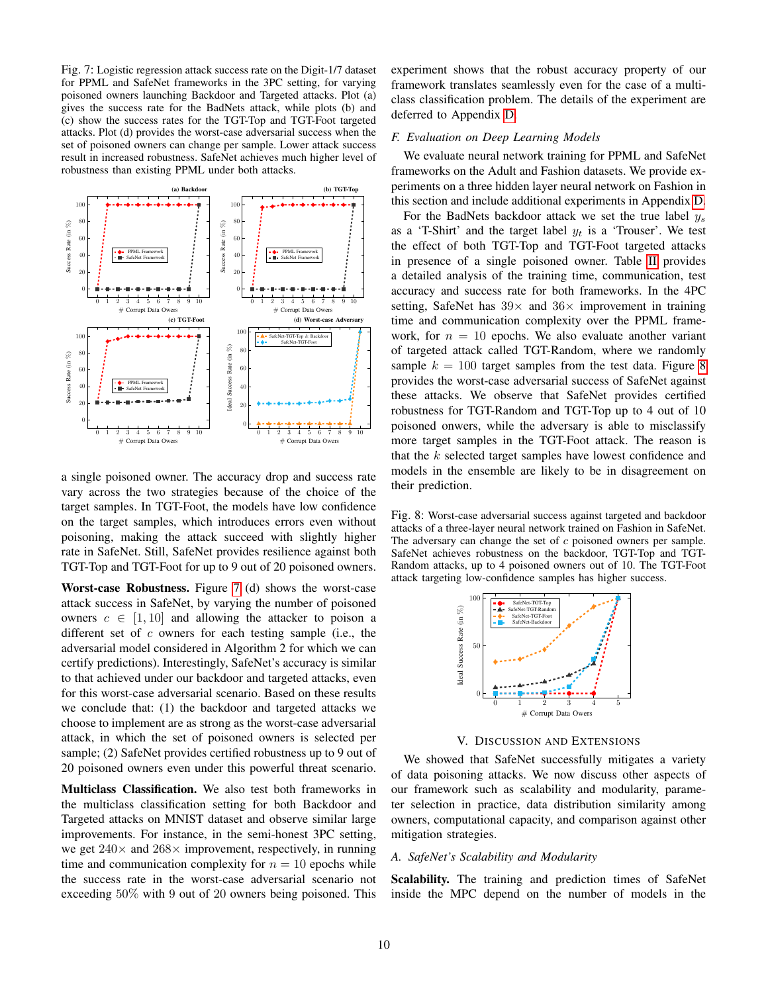<span id="page-9-0"></span>Fig. 7: Logistic regression attack success rate on the Digit-1/7 dataset for PPML and SafeNet frameworks in the 3PC setting, for varying poisoned owners launching Backdoor and Targeted attacks. Plot (a) gives the success rate for the BadNets attack, while plots (b) and (c) show the success rates for the TGT-Top and TGT-Foot targeted attacks. Plot (d) provides the worst-case adversarial success when the set of poisoned owners can change per sample. Lower attack success result in increased robustness. SafeNet achieves much higher level of robustness than existing PPML under both attacks.



a single poisoned owner. The accuracy drop and success rate vary across the two strategies because of the choice of the target samples. In TGT-Foot, the models have low confidence on the target samples, which introduces errors even without poisoning, making the attack succeed with slightly higher rate in SafeNet. Still, SafeNet provides resilience against both TGT-Top and TGT-Foot for up to 9 out of 20 poisoned owners.

Worst-case Robustness. Figure [7](#page-9-0) (d) shows the worst-case attack success in SafeNet, by varying the number of poisoned owners  $c \in [1, 10]$  and allowing the attacker to poison a different set of  $c$  owners for each testing sample (i.e., the adversarial model considered in Algorithm 2 for which we can certify predictions). Interestingly, SafeNet's accuracy is similar to that achieved under our backdoor and targeted attacks, even for this worst-case adversarial scenario. Based on these results we conclude that: (1) the backdoor and targeted attacks we choose to implement are as strong as the worst-case adversarial attack, in which the set of poisoned owners is selected per sample; (2) SafeNet provides certified robustness up to 9 out of 20 poisoned owners even under this powerful threat scenario.

Multiclass Classification. We also test both frameworks in the multiclass classification setting for both Backdoor and Targeted attacks on MNIST dataset and observe similar large improvements. For instance, in the semi-honest 3PC setting, we get  $240\times$  and  $268\times$  improvement, respectively, in running time and communication complexity for  $n = 10$  epochs while the success rate in the worst-case adversarial scenario not exceeding 50% with 9 out of 20 owners being poisoned. This

experiment shows that the robust accuracy property of our framework translates seamlessly even for the case of a multiclass classification problem. The details of the experiment are deferred to Appendix [D.](#page-16-1)

#### <span id="page-9-2"></span>*F. Evaluation on Deep Learning Models*

We evaluate neural network training for PPML and SafeNet frameworks on the Adult and Fashion datasets. We provide experiments on a three hidden layer neural network on Fashion in this section and include additional experiments in Appendix [D.](#page-16-1)

For the BadNets backdoor attack we set the true label  $y_s$ as a 'T-Shirt' and the target label  $y_t$  is a 'Trouser'. We test the effect of both TGT-Top and TGT-Foot targeted attacks in presence of a single poisoned owner. Table [II](#page-10-1) provides a detailed analysis of the training time, communication, test accuracy and success rate for both frameworks. In the 4PC setting, SafeNet has  $39 \times$  and  $36 \times$  improvement in training time and communication complexity over the PPML framework, for  $n = 10$  epochs. We also evaluate another variant of targeted attack called TGT-Random, where we randomly sample  $k = 100$  target samples from the test data. Figure [8](#page-9-1) provides the worst-case adversarial success of SafeNet against these attacks. We observe that SafeNet provides certified robustness for TGT-Random and TGT-Top up to 4 out of 10 poisoned onwers, while the adversary is able to misclassify more target samples in the TGT-Foot attack. The reason is that the  $k$  selected target samples have lowest confidence and models in the ensemble are likely to be in disagreement on their prediction.

<span id="page-9-1"></span>Fig. 8: Worst-case adversarial success against targeted and backdoor attacks of a three-layer neural network trained on Fashion in SafeNet. The adversary can change the set of c poisoned owners per sample. SafeNet achieves robustness on the backdoor, TGT-Top and TGT-Random attacks, up to 4 poisoned owners out of 10. The TGT-Foot attack targeting low-confidence samples has higher success.



V. DISCUSSION AND EXTENSIONS

We showed that SafeNet successfully mitigates a variety of data poisoning attacks. We now discuss other aspects of our framework such as scalability and modularity, parameter selection in practice, data distribution similarity among owners, computational capacity, and comparison against other mitigation strategies.

## *A. SafeNet's Scalability and Modularity*

Scalability. The training and prediction times of SafeNet inside the MPC depend on the number of models in the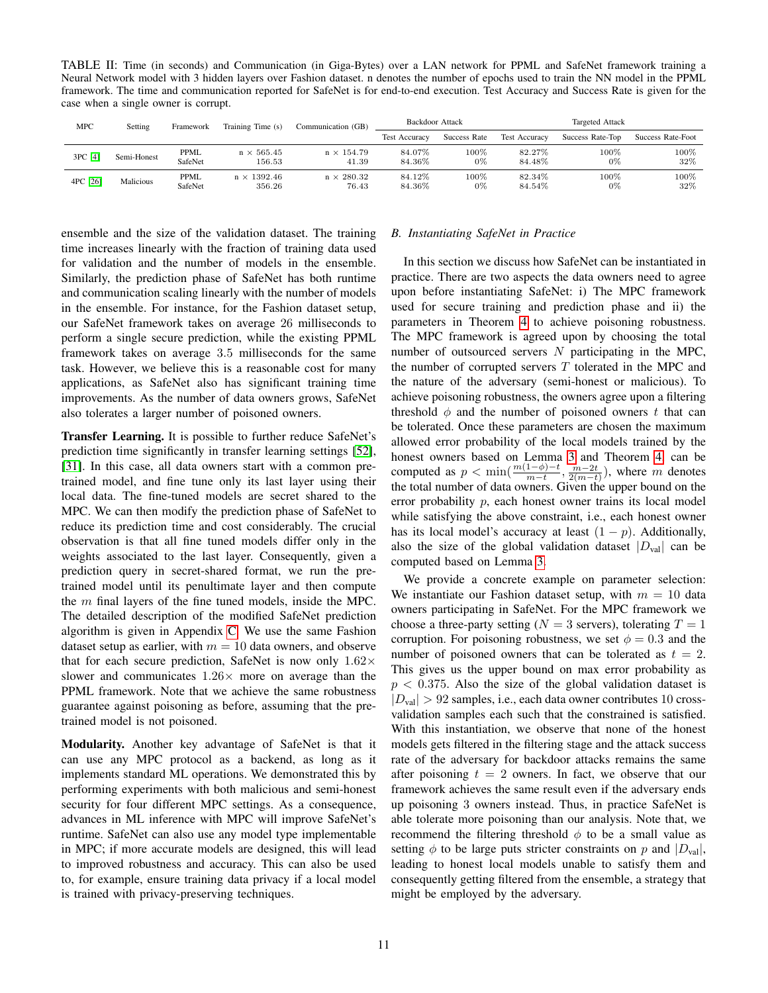<span id="page-10-1"></span>TABLE II: Time (in seconds) and Communication (in Giga-Bytes) over a LAN network for PPML and SafeNet framework training a Neural Network model with 3 hidden layers over Fashion dataset. n denotes the number of epochs used to train the NN model in the PPML framework. The time and communication reported for SafeNet is for end-to-end execution. Test Accuracy and Success Rate is given for the case when a single owner is corrupt.

| MPC      | Setting     | Framework       | Training Time (s)            | Communication (GB)         | Backdoor Attack      |              | <b>Targeted Attack</b> |                  |                   |
|----------|-------------|-----------------|------------------------------|----------------------------|----------------------|--------------|------------------------|------------------|-------------------|
|          |             |                 |                              |                            | <b>Test Accuracy</b> | Success Rate | <b>Test Accuracy</b>   | Success Rate-Top | Success Rate-Foot |
| 3PC [4]  | Semi-Honest | PPML<br>SafeNet | $n \times 565.45$<br>156.53  | $n \times 154.79$<br>41.39 | 84.07%<br>84.36%     | 100%<br>0%   | 82.27%<br>84.48%       | 100%<br>0%       | 100%<br>32%       |
| 4PC [26] | Malicious   | PPML<br>SafeNet | $n \times 1392.46$<br>356.26 | $n \times 280.32$<br>76.43 | 84.12%<br>84.36%     | 100%<br>0%   | 82.34%<br>84.54%       | 100%<br>$0\%$    | 100%<br>32%       |

ensemble and the size of the validation dataset. The training time increases linearly with the fraction of training data used for validation and the number of models in the ensemble. Similarly, the prediction phase of SafeNet has both runtime and communication scaling linearly with the number of models in the ensemble. For instance, for the Fashion dataset setup, our SafeNet framework takes on average 26 milliseconds to perform a single secure prediction, while the existing PPML framework takes on average 3.5 milliseconds for the same task. However, we believe this is a reasonable cost for many applications, as SafeNet also has significant training time improvements. As the number of data owners grows, SafeNet also tolerates a larger number of poisoned owners.

Transfer Learning. It is possible to further reduce SafeNet's prediction time significantly in transfer learning settings [\[52\]](#page-13-40), [\[31\]](#page-13-41). In this case, all data owners start with a common pretrained model, and fine tune only its last layer using their local data. The fine-tuned models are secret shared to the MPC. We can then modify the prediction phase of SafeNet to reduce its prediction time and cost considerably. The crucial observation is that all fine tuned models differ only in the weights associated to the last layer. Consequently, given a prediction query in secret-shared format, we run the pretrained model until its penultimate layer and then compute the  $m$  final layers of the fine tuned models, inside the MPC. The detailed description of the modified SafeNet prediction algorithm is given in Appendix [C.](#page-16-2) We use the same Fashion dataset setup as earlier, with  $m = 10$  data owners, and observe that for each secure prediction, SafeNet is now only  $1.62\times$ slower and communicates  $1.26 \times$  more on average than the PPML framework. Note that we achieve the same robustness guarantee against poisoning as before, assuming that the pretrained model is not poisoned.

Modularity. Another key advantage of SafeNet is that it can use any MPC protocol as a backend, as long as it implements standard ML operations. We demonstrated this by performing experiments with both malicious and semi-honest security for four different MPC settings. As a consequence, advances in ML inference with MPC will improve SafeNet's runtime. SafeNet can also use any model type implementable in MPC; if more accurate models are designed, this will lead to improved robustness and accuracy. This can also be used to, for example, ensure training data privacy if a local model is trained with privacy-preserving techniques.

## <span id="page-10-0"></span>*B. Instantiating SafeNet in Practice*

In this section we discuss how SafeNet can be instantiated in practice. There are two aspects the data owners need to agree upon before instantiating SafeNet: i) The MPC framework used for secure training and prediction phase and ii) the parameters in Theorem [4](#page-5-0) to achieve poisoning robustness. The MPC framework is agreed upon by choosing the total number of outsourced servers  $N$  participating in the MPC, the number of corrupted servers  $T$  tolerated in the MPC and the nature of the adversary (semi-honest or malicious). To achieve poisoning robustness, the owners agree upon a filtering threshold  $\phi$  and the number of poisoned owners t that can be tolerated. Once these parameters are chosen the maximum allowed error probability of the local models trained by the honest owners based on Lemma [3](#page-4-2) and Theorem [4,](#page-5-0) can be computed as  $p < \min(\frac{m(1-\phi)-t}{m-t}, \frac{m-2t}{2(m-t)})$ , where m denotes the total number of data owners. Given the upper bound on the error probability  $p$ , each honest owner trains its local model while satisfying the above constraint, i.e., each honest owner has its local model's accuracy at least  $(1 - p)$ . Additionally, also the size of the global validation dataset  $|D_{val}|$  can be computed based on Lemma [3.](#page-4-2)

We provide a concrete example on parameter selection: We instantiate our Fashion dataset setup, with  $m = 10$  data owners participating in SafeNet. For the MPC framework we choose a three-party setting ( $N = 3$  servers), tolerating  $T = 1$ corruption. For poisoning robustness, we set  $\phi = 0.3$  and the number of poisoned owners that can be tolerated as  $t = 2$ . This gives us the upper bound on max error probability as  $p < 0.375$ . Also the size of the global validation dataset is  $|D_{val}| > 92$  samples, i.e., each data owner contributes 10 crossvalidation samples each such that the constrained is satisfied. With this instantiation, we observe that none of the honest models gets filtered in the filtering stage and the attack success rate of the adversary for backdoor attacks remains the same after poisoning  $t = 2$  owners. In fact, we observe that our framework achieves the same result even if the adversary ends up poisoning 3 owners instead. Thus, in practice SafeNet is able tolerate more poisoning than our analysis. Note that, we recommend the filtering threshold  $\phi$  to be a small value as setting  $\phi$  to be large puts stricter constraints on p and  $|D_{val}|$ , leading to honest local models unable to satisfy them and consequently getting filtered from the ensemble, a strategy that might be employed by the adversary.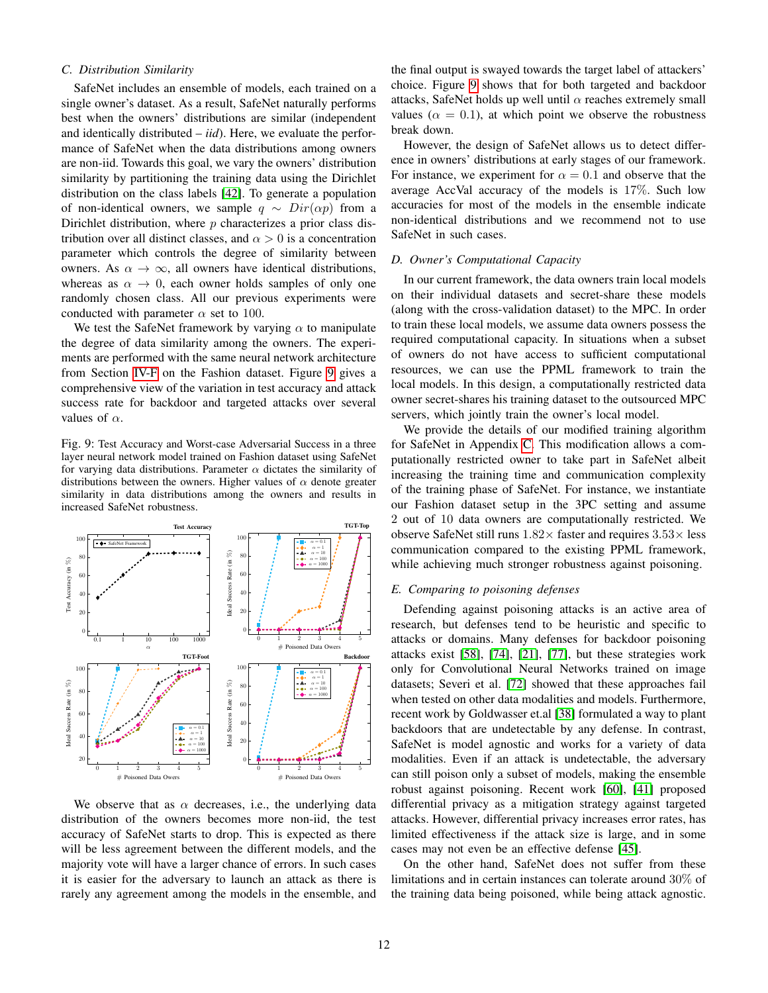## *C. Distribution Similarity*

SafeNet includes an ensemble of models, each trained on a single owner's dataset. As a result, SafeNet naturally performs best when the owners' distributions are similar (independent and identically distributed – *iid*). Here, we evaluate the performance of SafeNet when the data distributions among owners are non-iid. Towards this goal, we vary the owners' distribution similarity by partitioning the training data using the Dirichlet distribution on the class labels [\[42\]](#page-13-42). To generate a population of non-identical owners, we sample  $q \sim Dir(\alpha p)$  from a Dirichlet distribution, where  $p$  characterizes a prior class distribution over all distinct classes, and  $\alpha > 0$  is a concentration parameter which controls the degree of similarity between owners. As  $\alpha \to \infty$ , all owners have identical distributions, whereas as  $\alpha \to 0$ , each owner holds samples of only one randomly chosen class. All our previous experiments were conducted with parameter  $\alpha$  set to 100.

We test the SafeNet framework by varying  $\alpha$  to manipulate the degree of data similarity among the owners. The experiments are performed with the same neural network architecture from Section [IV-F](#page-9-2) on the Fashion dataset. Figure [9](#page-11-1) gives a comprehensive view of the variation in test accuracy and attack success rate for backdoor and targeted attacks over several values of  $\alpha$ .

<span id="page-11-1"></span>Fig. 9: Test Accuracy and Worst-case Adversarial Success in a three layer neural network model trained on Fashion dataset using SafeNet for varying data distributions. Parameter  $\alpha$  dictates the similarity of distributions between the owners. Higher values of  $\alpha$  denote greater similarity in data distributions among the owners and results in increased SafeNet robustness.



We observe that as  $\alpha$  decreases, i.e., the underlying data distribution of the owners becomes more non-iid, the test accuracy of SafeNet starts to drop. This is expected as there will be less agreement between the different models, and the majority vote will have a larger chance of errors. In such cases it is easier for the adversary to launch an attack as there is rarely any agreement among the models in the ensemble, and

the final output is swayed towards the target label of attackers' choice. Figure [9](#page-11-1) shows that for both targeted and backdoor attacks, SafeNet holds up well until  $\alpha$  reaches extremely small values ( $\alpha = 0.1$ ), at which point we observe the robustness break down.

However, the design of SafeNet allows us to detect difference in owners' distributions at early stages of our framework. For instance, we experiment for  $\alpha = 0.1$  and observe that the average AccVal accuracy of the models is 17%. Such low accuracies for most of the models in the ensemble indicate non-identical distributions and we recommend not to use SafeNet in such cases.

## *D. Owner's Computational Capacity*

In our current framework, the data owners train local models on their individual datasets and secret-share these models (along with the cross-validation dataset) to the MPC. In order to train these local models, we assume data owners possess the required computational capacity. In situations when a subset of owners do not have access to sufficient computational resources, we can use the PPML framework to train the local models. In this design, a computationally restricted data owner secret-shares his training dataset to the outsourced MPC servers, which jointly train the owner's local model.

We provide the details of our modified training algorithm for SafeNet in Appendix [C.](#page-16-2) This modification allows a computationally restricted owner to take part in SafeNet albeit increasing the training time and communication complexity of the training phase of SafeNet. For instance, we instantiate our Fashion dataset setup in the 3PC setting and assume 2 out of 10 data owners are computationally restricted. We observe SafeNet still runs  $1.82\times$  faster and requires  $3.53\times$  less communication compared to the existing PPML framework, while achieving much stronger robustness against poisoning.

# <span id="page-11-0"></span>*E. Comparing to poisoning defenses*

Defending against poisoning attacks is an active area of research, but defenses tend to be heuristic and specific to attacks or domains. Many defenses for backdoor poisoning attacks exist [\[58\]](#page-14-17), [\[74\]](#page-14-18), [\[21\]](#page-13-43), [\[77\]](#page-14-19), but these strategies work only for Convolutional Neural Networks trained on image datasets; Severi et al. [\[72\]](#page-14-20) showed that these approaches fail when tested on other data modalities and models. Furthermore, recent work by Goldwasser et.al [\[38\]](#page-13-44) formulated a way to plant backdoors that are undetectable by any defense. In contrast, SafeNet is model agnostic and works for a variety of data modalities. Even if an attack is undetectable, the adversary can still poison only a subset of models, making the ensemble robust against poisoning. Recent work [\[60\]](#page-14-21), [\[41\]](#page-13-45) proposed differential privacy as a mitigation strategy against targeted attacks. However, differential privacy increases error rates, has limited effectiveness if the attack size is large, and in some cases may not even be an effective defense [\[45\]](#page-13-46).

On the other hand, SafeNet does not suffer from these limitations and in certain instances can tolerate around 30% of the training data being poisoned, while being attack agnostic.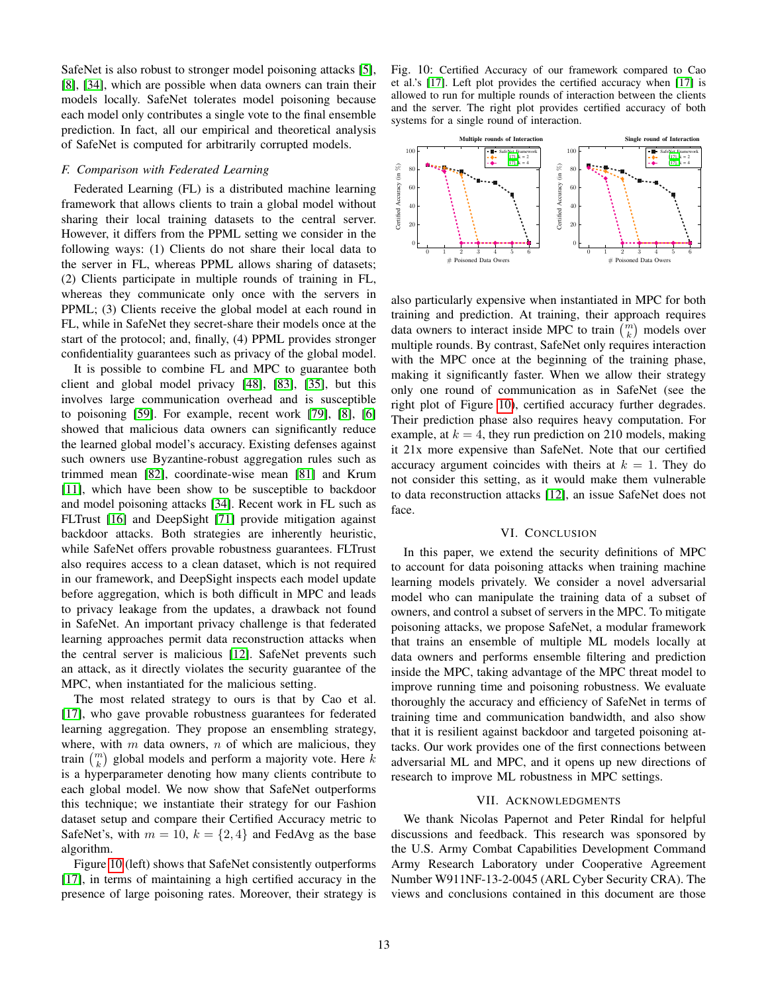SafeNet is also robust to stronger model poisoning attacks [\[5\]](#page-13-47), [\[8\]](#page-13-48), [\[34\]](#page-13-49), which are possible when data owners can train their models locally. SafeNet tolerates model poisoning because each model only contributes a single vote to the final ensemble prediction. In fact, all our empirical and theoretical analysis of SafeNet is computed for arbitrarily corrupted models.

### *F. Comparison with Federated Learning*

Federated Learning (FL) is a distributed machine learning framework that allows clients to train a global model without sharing their local training datasets to the central server. However, it differs from the PPML setting we consider in the following ways: (1) Clients do not share their local data to the server in FL, whereas PPML allows sharing of datasets; (2) Clients participate in multiple rounds of training in FL, whereas they communicate only once with the servers in PPML; (3) Clients receive the global model at each round in FL, while in SafeNet they secret-share their models once at the start of the protocol; and, finally, (4) PPML provides stronger confidentiality guarantees such as privacy of the global model.

It is possible to combine FL and MPC to guarantee both client and global model privacy [\[48\]](#page-13-50), [\[83\]](#page-14-22), [\[35\]](#page-13-51), but this involves large communication overhead and is susceptible to poisoning [\[59\]](#page-14-23). For example, recent work [\[79\]](#page-14-24), [\[8\]](#page-13-48), [\[6\]](#page-13-52) showed that malicious data owners can significantly reduce the learned global model's accuracy. Existing defenses against such owners use Byzantine-robust aggregation rules such as trimmed mean [\[82\]](#page-14-25), coordinate-wise mean [\[81\]](#page-14-26) and Krum [\[11\]](#page-13-53), which have been show to be susceptible to backdoor and model poisoning attacks [\[34\]](#page-13-49). Recent work in FL such as FLTrust [\[16\]](#page-13-54) and DeepSight [\[71\]](#page-14-27) provide mitigation against backdoor attacks. Both strategies are inherently heuristic, while SafeNet offers provable robustness guarantees. FLTrust also requires access to a clean dataset, which is not required in our framework, and DeepSight inspects each model update before aggregation, which is both difficult in MPC and leads to privacy leakage from the updates, a drawback not found in SafeNet. An important privacy challenge is that federated learning approaches permit data reconstruction attacks when the central server is malicious [\[12\]](#page-13-55). SafeNet prevents such an attack, as it directly violates the security guarantee of the MPC, when instantiated for the malicious setting.

The most related strategy to ours is that by Cao et al. [\[17\]](#page-13-11), who gave provable robustness guarantees for federated learning aggregation. They propose an ensembling strategy, where, with  $m$  data owners,  $n$  of which are malicious, they train  $\binom{m}{k}$  global models and perform a majority vote. Here  $k$ is a hyperparameter denoting how many clients contribute to each global model. We now show that SafeNet outperforms this technique; we instantiate their strategy for our Fashion dataset setup and compare their Certified Accuracy metric to SafeNet's, with  $m = 10$ ,  $k = \{2, 4\}$  and FedAvg as the base algorithm.

Figure [10](#page-12-0) (left) shows that SafeNet consistently outperforms [\[17\]](#page-13-11), in terms of maintaining a high certified accuracy in the presence of large poisoning rates. Moreover, their strategy is

<span id="page-12-0"></span>Fig. 10: Certified Accuracy of our framework compared to Cao et al.'s [\[17\]](#page-13-11). Left plot provides the certified accuracy when [\[17\]](#page-13-11) is allowed to run for multiple rounds of interaction between the clients and the server. The right plot provides certified accuracy of both systems for a single round of interaction.



also particularly expensive when instantiated in MPC for both training and prediction. At training, their approach requires data owners to interact inside MPC to train  $\binom{m}{k}$  models over multiple rounds. By contrast, SafeNet only requires interaction with the MPC once at the beginning of the training phase, making it significantly faster. When we allow their strategy only one round of communication as in SafeNet (see the right plot of Figure [10\)](#page-12-0), certified accuracy further degrades. Their prediction phase also requires heavy computation. For example, at  $k = 4$ , they run prediction on 210 models, making it 21x more expensive than SafeNet. Note that our certified accuracy argument coincides with theirs at  $k = 1$ . They do not consider this setting, as it would make them vulnerable to data reconstruction attacks [\[12\]](#page-13-55), an issue SafeNet does not face.

#### VI. CONCLUSION

In this paper, we extend the security definitions of MPC to account for data poisoning attacks when training machine learning models privately. We consider a novel adversarial model who can manipulate the training data of a subset of owners, and control a subset of servers in the MPC. To mitigate poisoning attacks, we propose SafeNet, a modular framework that trains an ensemble of multiple ML models locally at data owners and performs ensemble filtering and prediction inside the MPC, taking advantage of the MPC threat model to improve running time and poisoning robustness. We evaluate thoroughly the accuracy and efficiency of SafeNet in terms of training time and communication bandwidth, and also show that it is resilient against backdoor and targeted poisoning attacks. Our work provides one of the first connections between adversarial ML and MPC, and it opens up new directions of research to improve ML robustness in MPC settings.

#### VII. ACKNOWLEDGMENTS

We thank Nicolas Papernot and Peter Rindal for helpful discussions and feedback. This research was sponsored by the U.S. Army Combat Capabilities Development Command Army Research Laboratory under Cooperative Agreement Number W911NF-13-2-0045 (ARL Cyber Security CRA). The views and conclusions contained in this document are those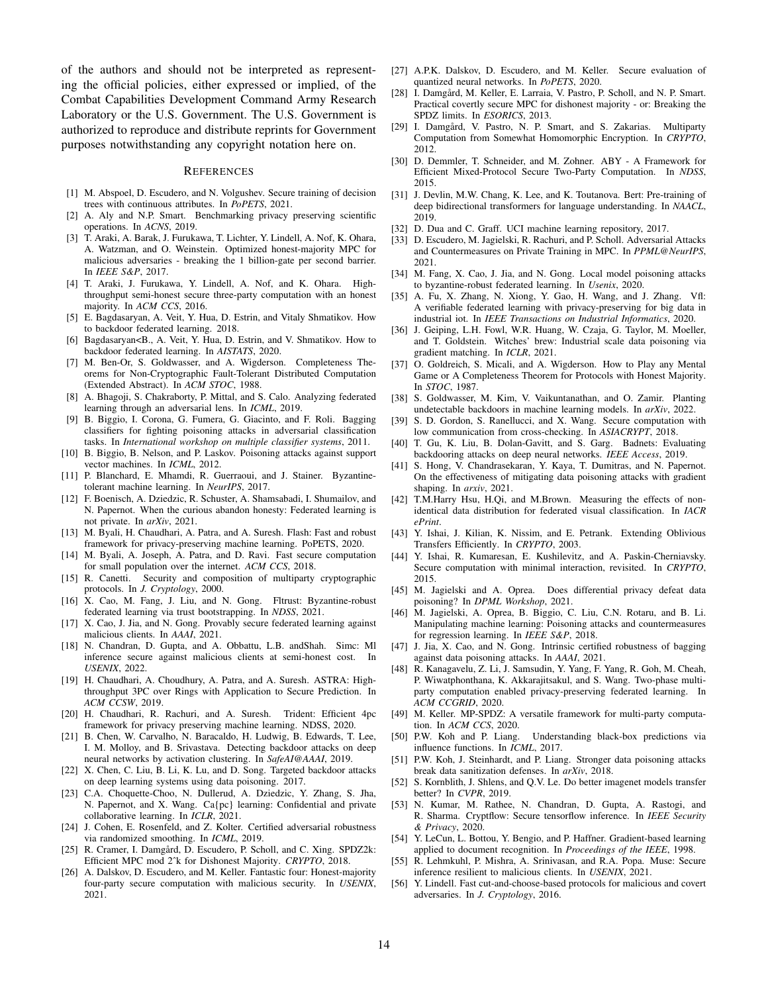of the authors and should not be interpreted as representing the official policies, either expressed or implied, of the Combat Capabilities Development Command Army Research Laboratory or the U.S. Government. The U.S. Government is authorized to reproduce and distribute reprints for Government purposes notwithstanding any copyright notation here on.

#### **REFERENCES**

- <span id="page-13-2"></span>[1] M. Abspoel, D. Escudero, and N. Volgushev. Secure training of decision trees with continuous attributes. In *PoPETS*, 2021.
- <span id="page-13-39"></span>[2] A. Aly and N.P. Smart. Benchmarking privacy preserving scientific operations. In *ACNS*, 2019.
- <span id="page-13-20"></span>[3] T. Araki, A. Barak, J. Furukawa, T. Lichter, Y. Lindell, A. Nof, K. Ohara, A. Watzman, and O. Weinstein. Optimized honest-majority MPC for malicious adversaries - breaking the 1 billion-gate per second barrier. In *IEEE S&P*, 2017.
- <span id="page-13-10"></span>[4] T. Araki, J. Furukawa, Y. Lindell, A. Nof, and K. Ohara. Highthroughput semi-honest secure three-party computation with an honest majority. In *ACM CCS*, 2016.
- <span id="page-13-47"></span>[5] E. Bagdasaryan, A. Veit, Y. Hua, D. Estrin, and Vitaly Shmatikov. How to backdoor federated learning. 2018.
- <span id="page-13-52"></span>[6] Bagdasaryan<B., A. Veit, Y. Hua, D. Estrin, and V. Shmatikov. How to backdoor federated learning. In *AISTATS*, 2020.
- <span id="page-13-12"></span>[7] M. Ben-Or, S. Goldwasser, and A. Wigderson. Completeness Theorems for Non-Cryptographic Fault-Tolerant Distributed Computation (Extended Abstract). In *ACM STOC*, 1988.
- <span id="page-13-48"></span>[8] A. Bhagoji, S. Chakraborty, P. Mittal, and S. Calo. Analyzing federated learning through an adversarial lens. In *ICML*, 2019.
- <span id="page-13-30"></span>[9] B. Biggio, I. Corona, G. Fumera, G. Giacinto, and F. Roli. Bagging classifiers for fighting poisoning attacks in adversarial classification tasks. In *International workshop on multiple classifier systems*, 2011.
- <span id="page-13-3"></span>[10] B. Biggio, B. Nelson, and P. Laskov. Poisoning attacks against support vector machines. In *ICML*, 2012.
- <span id="page-13-53"></span>[11] P. Blanchard, E. Mhamdi, R. Guerraoui, and J. Stainer. Byzantinetolerant machine learning. In *NeurIPS*, 2017.
- <span id="page-13-55"></span>[12] F. Boenisch, A. Dziedzic, R. Schuster, A. Shamsabadi, I. Shumailov, and N. Papernot. When the curious abandon honesty: Federated learning is not private. In *arXiv*, 2021.
- <span id="page-13-17"></span>[13] M. Byali, H. Chaudhari, A. Patra, and A. Suresh. Flash: Fast and robust framework for privacy-preserving machine learning. PoPETS, 2020.
- <span id="page-13-21"></span>[14] M. Byali, A. Joseph, A. Patra, and D. Ravi. Fast secure computation for small population over the internet. *ACM CCS*, 2018.
- <span id="page-13-33"></span>[15] R. Canetti. Security and composition of multiparty cryptographic protocols. In *J. Cryptology*, 2000.
- <span id="page-13-54"></span>[16] X. Cao, M. Fang, J. Liu, and N. Gong. Fltrust: Byzantine-robust federated learning via trust bootstrapping. In *NDSS*, 2021.
- <span id="page-13-11"></span>[17] X. Cao, J. Jia, and N. Gong. Provably secure federated learning against malicious clients. In *AAAI*, 2021.
- <span id="page-13-28"></span>[18] N. Chandran, D. Gupta, and A. Obbattu, L.B. and Shah. Simc: Ml inference secure against malicious clients at semi-honest cost. In *USENIX*, 2022.
- <span id="page-13-16"></span>[19] H. Chaudhari, A. Choudhury, A. Patra, and A. Suresh. ASTRA: Highthroughput 3PC over Rings with Application to Secure Prediction. In *ACM CCSW*, 2019.
- <span id="page-13-24"></span>[20] H. Chaudhari, R. Rachuri, and A. Suresh. Trident: Efficient 4pc framework for privacy preserving machine learning. NDSS, 2020.
- <span id="page-13-43"></span>[21] B. Chen, W. Carvalho, N. Baracaldo, H. Ludwig, B. Edwards, T. Lee, I. M. Molloy, and B. Srivastava. Detecting backdoor attacks on deep neural networks by activation clustering. In *SafeAI@AAAI*, 2019.
- <span id="page-13-7"></span>[22] X. Chen, C. Liu, B. Li, K. Lu, and D. Song. Targeted backdoor attacks on deep learning systems using data poisoning. 2017.
- <span id="page-13-32"></span>[23] C.A. Choquette-Choo, N. Dullerud, A. Dziedzic, Y. Zhang, S. Jha, N. Papernot, and X. Wang. Ca{pc} learning: Confidential and private collaborative learning. In *ICLR*, 2021.
- <span id="page-13-34"></span>[24] J. Cohen, E. Rosenfeld, and Z. Kolter. Certified adversarial robustness via randomized smoothing. In *ICML*, 2019.
- <span id="page-13-36"></span>[25] R. Cramer, I. Damgård, D. Escudero, P. Scholl, and C. Xing. SPDZ2k: Efficient MPC mod 2ˆk for Dishonest Majority. *CRYPTO*, 2018.
- <span id="page-13-0"></span>[26] A. Dalskov, D. Escudero, and M. Keller. Fantastic four: Honest-majority four-party secure computation with malicious security. In *USENIX*, 2021.
- <span id="page-13-1"></span>[27] A.P.K. Dalskov, D. Escudero, and M. Keller. Secure evaluation of quantized neural networks. In *PoPETS*, 2020.
- <span id="page-13-18"></span>[28] I. Damgård, M. Keller, E. Larraia, V. Pastro, P. Scholl, and N. P. Smart. Practical covertly secure MPC for dishonest majority - or: Breaking the SPDZ limits. In *ESORICS*, 2013.
- <span id="page-13-15"></span>[29] I. Damgård, V. Pastro, N. P. Smart, and S. Zakarias. Multiparty Computation from Somewhat Homomorphic Encryption. In *CRYPTO*, 2012.
- <span id="page-13-9"></span>[30] D. Demmler, T. Schneider, and M. Zohner. ABY - A Framework for Efficient Mixed-Protocol Secure Two-Party Computation. In *NDSS*, 2015.
- <span id="page-13-41"></span>[31] J. Devlin, M.W. Chang, K. Lee, and K. Toutanova. Bert: Pre-training of deep bidirectional transformers for language understanding. In *NAACL*, 2019.
- <span id="page-13-38"></span>[32] D. Dua and C. Graff. UCI machine learning repository, 2017.
- <span id="page-13-29"></span>[33] D. Escudero, M. Jagielski, R. Rachuri, and P. Scholl. Adversarial Attacks and Countermeasures on Private Training in MPC. In *PPML@NeurIPS*, 2021.
- <span id="page-13-49"></span>[34] M. Fang, X. Cao, J. Jia, and N. Gong. Local model poisoning attacks to byzantine-robust federated learning. In *Usenix*, 2020.
- <span id="page-13-51"></span>[35] A. Fu, X. Zhang, N. Xiong, Y. Gao, H. Wang, and J. Zhang. Vfl: A verifiable federated learning with privacy-preserving for big data in industrial iot. In *IEEE Transactions on Industrial Informatics*, 2020.
- <span id="page-13-6"></span>[36] J. Geiping, L.H. Fowl, W.R. Huang, W. Czaja, G. Taylor, M. Moeller, and T. Goldstein. Witches' brew: Industrial scale data poisoning via gradient matching. In *ICLR*, 2021.
- <span id="page-13-13"></span>[37] O. Goldreich, S. Micali, and A. Wigderson. How to Play any Mental Game or A Completeness Theorem for Protocols with Honest Majority. In *STOC*, 1987.
- <span id="page-13-44"></span>[38] S. Goldwasser, M. Kim, V. Vaikuntanathan, and O. Zamir. Planting undetectable backdoors in machine learning models. In *arXiv*, 2022.
- <span id="page-13-23"></span>[39] S. D. Gordon, S. Ranellucci, and X. Wang. Secure computation with low communication from cross-checking. In *ASIACRYPT*, 2018.
- <span id="page-13-5"></span>[40] T. Gu, K. Liu, B. Dolan-Gavitt, and S. Garg. Badnets: Evaluating backdooring attacks on deep neural networks. *IEEE Access*, 2019.
- <span id="page-13-45"></span>[41] S. Hong, V. Chandrasekaran, Y. Kaya, T. Dumitras, and N. Papernot. On the effectiveness of mitigating data poisoning attacks with gradient shaping. In *arxiv*, 2021.
- <span id="page-13-42"></span>[42] T.M.Harry Hsu, H.Qi, and M.Brown. Measuring the effects of nonidentical data distribution for federated visual classification. In *IACR ePrint*.
- <span id="page-13-14"></span>[43] Y. Ishai, J. Kilian, K. Nissim, and E. Petrank. Extending Oblivious Transfers Efficiently. In *CRYPTO*, 2003.
- <span id="page-13-22"></span>[44] Y. Ishai, R. Kumaresan, E. Kushilevitz, and A. Paskin-Cherniavsky. Secure computation with minimal interaction, revisited. In *CRYPTO*, 2015.
- <span id="page-13-46"></span>[45] M. Jagielski and A. Oprea. Does differential privacy defeat data poisoning? In *DPML Workshop*, 2021.
- <span id="page-13-4"></span>[46] M. Jagielski, A. Oprea, B. Biggio, C. Liu, C.N. Rotaru, and B. Li. Manipulating machine learning: Poisoning attacks and countermeasures for regression learning. In *IEEE S&P*, 2018.
- <span id="page-13-31"></span>[47] J. Jia, X. Cao, and N. Gong. Intrinsic certified robustness of bagging against data poisoning attacks. In *AAAI*, 2021.
- <span id="page-13-50"></span>[48] R. Kanagavelu, Z. Li, J. Samsudin, Y. Yang, F. Yang, R. Goh, M. Cheah, P. Wiwatphonthana, K. Akkarajitsakul, and S. Wang. Two-phase multiparty computation enabled privacy-preserving federated learning. In *ACM CCGRID*, 2020.
- <span id="page-13-35"></span>[49] M. Keller. MP-SPDZ: A versatile framework for multi-party computation. In *ACM CCS*, 2020.
- <span id="page-13-8"></span>[50] P.W. Koh and P. Liang. Understanding black-box predictions via influence functions. In *ICML*, 2017.
- <span id="page-13-26"></span>[51] P.W. Koh, J. Steinhardt, and P. Liang. Stronger data poisoning attacks break data sanitization defenses. In *arXiv*, 2018.
- <span id="page-13-40"></span>[52] S. Kornblith, J. Shlens, and Q.V. Le. Do better imagenet models transfer better? In *CVPR*, 2019.
- <span id="page-13-25"></span>[53] N. Kumar, M. Rathee, N. Chandran, D. Gupta, A. Rastogi, and R. Sharma. Cryptflow: Secure tensorflow inference. In *IEEE Security & Privacy*, 2020.
- <span id="page-13-37"></span>[54] Y. LeCun, L. Bottou, Y. Bengio, and P. Haffner. Gradient-based learning applied to document recognition. In *Proceedings of the IEEE*, 1998.
- <span id="page-13-27"></span>[55] R. Lehmkuhl, P. Mishra, A. Srinivasan, and R.A. Popa. Muse: Secure inference resilient to malicious clients. In *USENIX*, 2021.
- <span id="page-13-19"></span>[56] Y. Lindell. Fast cut-and-choose-based protocols for malicious and covert adversaries. In *J. Cryptology*, 2016.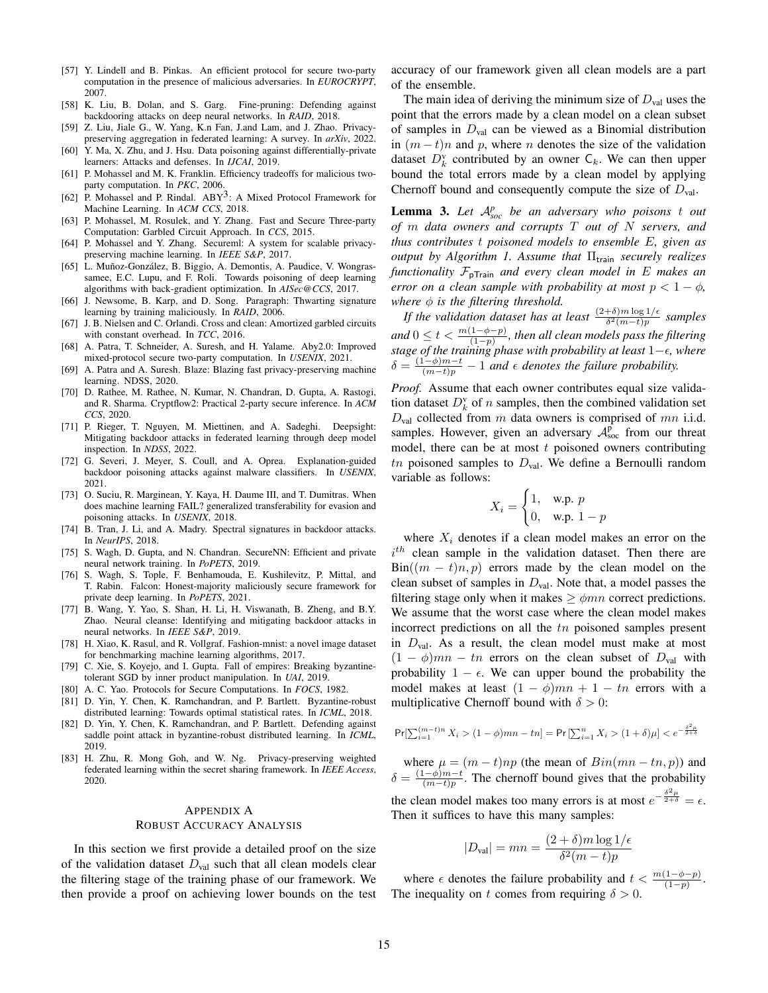- <span id="page-14-8"></span>[57] Y. Lindell and B. Pinkas. An efficient protocol for secure two-party computation in the presence of malicious adversaries. In *EUROCRYPT*, 2007.
- <span id="page-14-17"></span>[58] K. Liu, B. Dolan, and S. Garg. Fine-pruning: Defending against backdooring attacks on deep neural networks. In *RAID*, 2018.
- <span id="page-14-23"></span>[59] Z. Liu, Jiale G., W. Yang, K.n Fan, J.and Lam, and J. Zhao. Privacypreserving aggregation in federated learning: A survey. In *arXiv*, 2022.
- <span id="page-14-21"></span>[60] Y. Ma, X. Zhu, and J. Hsu. Data poisoning against differentially-private learners: Attacks and defenses. In *IJCAI*, 2019.
- <span id="page-14-7"></span>[61] P. Mohassel and M. K. Franklin. Efficiency tradeoffs for malicious twoparty computation. In *PKC*, 2006.
- <span id="page-14-1"></span>[62] P. Mohassel and P. Rindal.  $ABY<sup>3</sup>$ : A Mixed Protocol Framework for Machine Learning. In *ACM CCS*, 2018.
- <span id="page-14-6"></span>[63] P. Mohassel, M. Rosulek, and Y. Zhang. Fast and Secure Three-party Computation: Garbled Circuit Approach. In *CCS*, 2015.
- <span id="page-14-0"></span>[64] P. Mohassel and Y. Zhang. Secureml: A system for scalable privacypreserving machine learning. In *IEEE S&P*, 2017.
- <span id="page-14-14"></span>[65] L. Muñoz-González, B. Biggio, A. Demontis, A. Paudice, V. Wongrassamee, E.C. Lupu, and F. Roli. Towards poisoning of deep learning algorithms with back-gradient optimization. In *AISec@CCS*, 2017.
- <span id="page-14-12"></span>[66] J. Newsome, B. Karp, and D. Song. Paragraph: Thwarting signature learning by training maliciously. In *RAID*, 2006.
- <span id="page-14-9"></span>[67] J. B. Nielsen and C. Orlandi. Cross and clean: Amortized garbled circuits with constant overhead. In *TCC*, 2016.
- <span id="page-14-11"></span>[68] A. Patra, T. Schneider, A. Suresh, and H. Yalame. Aby2.0: Improved mixed-protocol secure two-party computation. In *USENIX*, 2021.
- <span id="page-14-3"></span>[69] A. Patra and A. Suresh. Blaze: Blazing fast privacy-preserving machine learning. NDSS, 2020.
- <span id="page-14-10"></span>[70] D. Rathee, M. Rathee, N. Kumar, N. Chandran, D. Gupta, A. Rastogi, and R. Sharma. Cryptflow2: Practical 2-party secure inference. In *ACM CCS*, 2020.
- <span id="page-14-27"></span>[71] P. Rieger, T. Nguyen, M. Miettinen, and A. Sadeghi. Deepsight: Mitigating backdoor attacks in federated learning through deep model inspection. In *NDSS*, 2022.
- <span id="page-14-20"></span>[72] G. Severi, J. Meyer, S. Coull, and A. Oprea. Explanation-guided backdoor poisoning attacks against malware classifiers. In *USENIX*, 2021.
- <span id="page-14-13"></span>[73] O. Suciu, R. Marginean, Y. Kaya, H. Daume III, and T. Dumitras. When does machine learning FAIL? generalized transferability for evasion and poisoning attacks. In *USENIX*, 2018.
- <span id="page-14-18"></span>[74] B. Tran, J. Li, and A. Madry. Spectral signatures in backdoor attacks. In *NeurIPS*, 2018.
- <span id="page-14-2"></span>[75] S. Wagh, D. Gupta, and N. Chandran. SecureNN: Efficient and private neural network training. In *PoPETS*, 2019.
- <span id="page-14-4"></span>[76] S. Wagh, S. Tople, F. Benhamouda, E. Kushilevitz, P. Mittal, and T. Rabin. Falcon: Honest-majority maliciously secure framework for private deep learning. In *PoPETS*, 2021.
- <span id="page-14-19"></span>[77] B. Wang, Y. Yao, S. Shan, H. Li, H. Viswanath, B. Zheng, and B.Y. Zhao. Neural cleanse: Identifying and mitigating backdoor attacks in neural networks. In *IEEE S&P*, 2019.
- <span id="page-14-16"></span>[78] H. Xiao, K. Rasul, and R. Vollgraf. Fashion-mnist: a novel image dataset for benchmarking machine learning algorithms, 2017.
- <span id="page-14-24"></span>[79] C. Xie, S. Koyejo, and I. Gupta. Fall of empires: Breaking byzantinetolerant SGD by inner product manipulation. In *UAI*, 2019.
- <span id="page-14-5"></span>[80] A. C. Yao. Protocols for Secure Computations. In *FOCS*, 1982.
- <span id="page-14-26"></span>[81] D. Yin, Y. Chen, K. Ramchandran, and P. Bartlett. Byzantine-robust distributed learning: Towards optimal statistical rates. In *ICML*, 2018.
- <span id="page-14-25"></span>[82] D. Yin, Y. Chen, K. Ramchandran, and P. Bartlett. Defending against saddle point attack in byzantine-robust distributed learning. In *ICML*, 2019.
- <span id="page-14-22"></span>[83] H. Zhu, R. Mong Goh, and W. Ng. Privacy-preserving weighted federated learning within the secret sharing framework. In *IEEE Access*, 2020.

# APPENDIX A ROBUST ACCURACY ANALYSIS

In this section we first provide a detailed proof on the size of the validation dataset  $D_{val}$  such that all clean models clear the filtering stage of the training phase of our framework. We then provide a proof on achieving lower bounds on the test accuracy of our framework given all clean models are a part of the ensemble.

The main idea of deriving the minimum size of  $D_{val}$  uses the point that the errors made by a clean model on a clean subset of samples in  $D_{val}$  can be viewed as a Binomial distribution in  $(m - t)n$  and p, where n denotes the size of the validation dataset  $D_k^{\text{v}}$  contributed by an owner  $\mathsf{C}_k$ . We can then upper bound the total errors made by a clean model by applying Chernoff bound and consequently compute the size of  $D_{val}$ .

<span id="page-14-15"></span>Lemma 3. Let  $A_{soc}^p$  be an adversary who poisons t out *of* m *data owners and corrupts* T *out of* N *servers, and thus contributes* t *poisoned models to ensemble* E*, given as output by Algorithm 1. Assume that* Π<sub>train</sub> *securely realizes functionality* FpTrain *and every clean model in* E *makes an error on a clean sample with probability at most*  $p < 1 - \phi$ , *where*  $\phi$  *is the filtering threshold.* 

*If the validation dataset has at least*  $\frac{(2+\delta)m\log 1/\epsilon}{\delta^2(m-t)p}$  samples and  $0 \leq t < \frac{m(1-\phi-p)}{(1-p)}$ , then all clean models pass the filtering *stage of the training phase with probability at least* 1−*, where*  $\delta = \frac{(1-\phi)m-t}{(m-t)p} - 1$  *and*  $\epsilon$  *denotes the failure probability.* 

*Proof.* Assume that each owner contributes equal size validation dataset  $D_k^{\text{v}}$  of *n* samples, then the combined validation set  $D_{\text{val}}$  collected from m data owners is comprised of mn i.i.d. samples. However, given an adversary  $\mathcal{A}_{\text{soc}}^{\rho}$  from our threat model, there can be at most  $t$  poisoned owners contributing tn poisoned samples to  $D_{val}$ . We define a Bernoulli random variable as follows:

$$
X_i = \begin{cases} 1, & \text{w.p. } p \\ 0, & \text{w.p. } 1 - p \end{cases}
$$

where  $X_i$  denotes if a clean model makes an error on the  $i<sup>th</sup>$  clean sample in the validation dataset. Then there are  $Bin((m - t)n, p)$  errors made by the clean model on the clean subset of samples in  $D_{val}$ . Note that, a model passes the filtering stage only when it makes  $\geq \phi mn$  correct predictions. We assume that the worst case where the clean model makes incorrect predictions on all the tn poisoned samples present in  $D_{val}$ . As a result, the clean model must make at most  $(1 - \phi)mn - tn$  errors on the clean subset of  $D_{val}$  with probability  $1 - \epsilon$ . We can upper bound the probability the model makes at least  $(1 - \phi)mn + 1 - tn$  errors with a multiplicative Chernoff bound with  $\delta > 0$ :

$$
\Pr[\textstyle\sum_{i=1}^{(m-t)n} X_i > (1-\phi)mn - tn] = \Pr\left[\textstyle\sum_{i=1}^{n} X_i > (1+\delta)\mu\right] < e^{-\frac{\delta^2\mu}{2+\delta}}
$$

where  $\mu = (m - t)np$  (the mean of  $Bin(mn - tn, p)$ ) and  $\delta = \frac{(1-\phi)m-t}{(m-t)n}$  $\frac{(-\varphi)m-t}{(m-t)p}$ . The chernoff bound gives that the probability the clean model makes too many errors is at most  $e^{-\frac{\delta^2 \mu}{2+\delta}} = \epsilon$ . Then it suffices to have this many samples:

$$
|D_{\text{val}}| = mn = \frac{(2+\delta)m\log 1/\epsilon}{\delta^2(m-t)p}
$$

where  $\epsilon$  denotes the failure probability and  $t < \frac{m(1-\phi-p)}{(1-p)}$ . The inequality on t comes from requiring  $\delta > 0$ .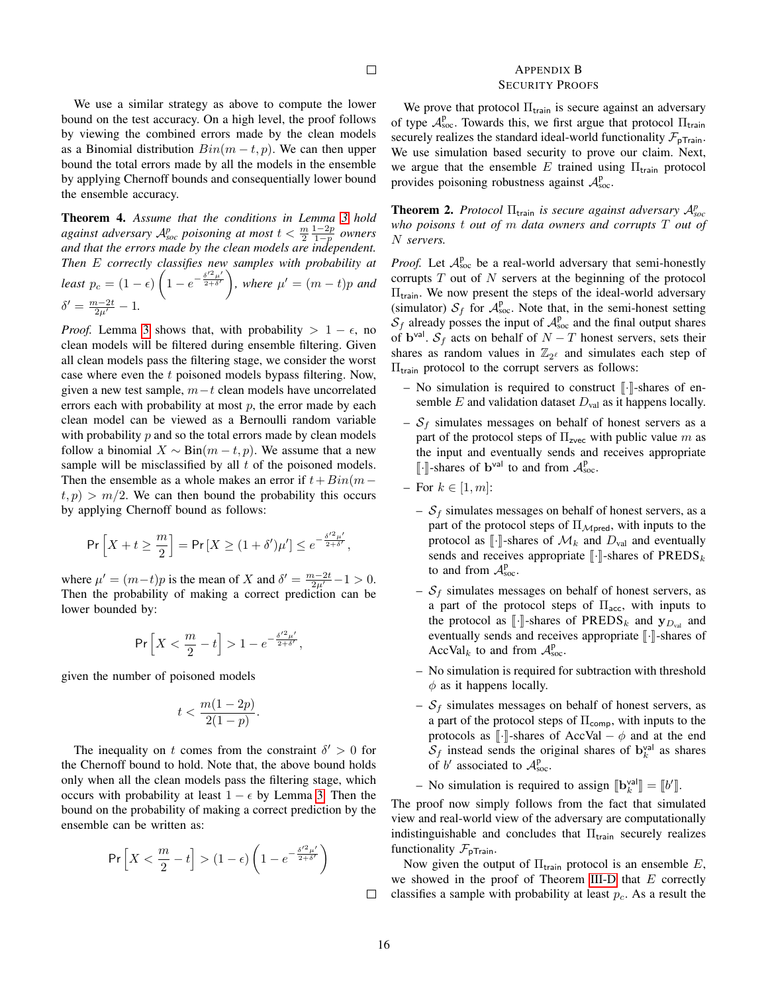## <span id="page-15-0"></span>APPENDIX B SECURITY PROOFS

We use a similar strategy as above to compute the lower bound on the test accuracy. On a high level, the proof follows by viewing the combined errors made by the clean models as a Binomial distribution  $Bin(m-t, p)$ . We can then upper bound the total errors made by all the models in the ensemble by applying Chernoff bounds and consequentially lower bound the ensemble accuracy.

<span id="page-15-1"></span>Theorem 4. *Assume that the conditions in Lemma [3](#page-4-2) hold against adversary*  $A^{p}_{soc}$  *poisoning at most*  $t < \frac{m}{2} \frac{1-2p}{1-p}$  *owners and that the errors made by the clean models are independent. Then* E *correctly classifies new samples with probability at least*  $p_c = (1 - \epsilon) \left(1 - e^{-\frac{\delta'^2 \mu'}{2 + \delta'}}\right)$ , where  $\mu' = (m - t)p$  and  $\delta' = \frac{m-2t}{2\mu'} - 1.$ 

*Proof.* Lemma [3](#page-4-2) shows that, with probability  $> 1 - \epsilon$ , no clean models will be filtered during ensemble filtering. Given all clean models pass the filtering stage, we consider the worst case where even the t poisoned models bypass filtering. Now, given a new test sample,  $m-t$  clean models have uncorrelated errors each with probability at most  $p$ , the error made by each clean model can be viewed as a Bernoulli random variable with probability  $p$  and so the total errors made by clean models follow a binomial  $X \sim Bin(m-t, p)$ . We assume that a new sample will be misclassified by all  $t$  of the poisoned models. Then the ensemble as a whole makes an error if  $t+Bin(m$  $t, p) > m/2$ . We can then bound the probability this occurs by applying Chernoff bound as follows:

$$
\Pr\left[X+t\geq \frac{m}{2}\right]=\Pr\left[X\geq (1+\delta')\mu'\right]\leq e^{-\frac{\delta'^2\mu'}{2+\delta'}},
$$

where  $\mu' = (m-t)p$  is the mean of X and  $\delta' = \frac{m-2t}{2\mu'} - 1 > 0$ . Then the probability of making a correct prediction can be lower bounded by:

$$
\Pr\left[X < \frac{m}{2} - t\right] > 1 - e^{-\frac{\delta'^2 \mu'}{2 + \delta'}},
$$

given the number of poisoned models

$$
t < \frac{m(1-2p)}{2(1-p)}.
$$

The inequality on t comes from the constraint  $\delta' > 0$  for the Chernoff bound to hold. Note that, the above bound holds only when all the clean models pass the filtering stage, which occurs with probability at least  $1 - \epsilon$  by Lemma [3.](#page-4-2) Then the bound on the probability of making a correct prediction by the ensemble can be written as:

$$
\Pr\left[X < \frac{m}{2} - t\right] > (1 - \epsilon) \left(1 - e^{-\frac{\delta'^2 \mu'}{2 + \delta'}}\right)
$$

We prove that protocol  $\Pi_{\text{train}}$  is secure against an adversary of type  $A_{\text{soc}}^p$ . Towards this, we first argue that protocol  $\Pi_{\text{train}}$ securely realizes the standard ideal-world functionality  $\mathcal{F}_{\text{pTrain}}$ . We use simulation based security to prove our claim. Next, we argue that the ensemble E trained using  $\Pi_{\text{train}}$  protocol provides poisoning robustness against  $A_{\text{soc}}^{\text{p}}$ .

<span id="page-15-2"></span>**Theorem 2.** *Protocol*  $\Pi$ <sub>train</sub> *is secure against adversary*  $A_{soc}^p$ *who poisons* t *out of* m *data owners and corrupts* T *out of* N *servers.*

*Proof.* Let  $A_{\text{soc}}^{\text{p}}$  be a real-world adversary that semi-honestly corrupts  $T$  out of  $N$  servers at the beginning of the protocol  $\Pi_{\text{train}}$ . We now present the steps of the ideal-world adversary (simulator)  $S_f$  for  $A_{\text{soc}}^p$ . Note that, in the semi-honest setting  $S_f$  already posses the input of  $A_{\text{soc}}^p$  and the final output shares of b<sup>val</sup>.  $S_f$  acts on behalf of  $N - T$  honest servers, sets their shares as random values in  $\mathbb{Z}_{2^{\ell}}$  and simulates each step of  $\Pi_{\text{train}}$  protocol to the corrupt servers as follows:

- No simulation is required to construct  $\lbrack \cdot \rbrack$ -shares of ensemble  $E$  and validation dataset  $D_{val}$  as it happens locally.
- $S_f$  simulates messages on behalf of honest servers as a part of the protocol steps of  $\Pi_{\text{zvec}}$  with public value m as the input and eventually sends and receives appropriate  $\llbracket \cdot \rrbracket$ -shares of  $\mathbf{b}^{\text{val}}$  to and from  $\mathcal{A}_{\text{soc}}^{\text{p}}$ .
- For  $k \in [1, m]$ :
	- $S_f$  simulates messages on behalf of honest servers, as a part of the protocol steps of  $\Pi_{\mathcal{M} \text{pred}}$ , with inputs to the protocol as  $\llbracket \cdot \rrbracket$ -shares of  $\mathcal{M}_k$  and  $D_{val}$  and eventually sends and receives appropriate  $\lbrack \cdot \rbrack$ -shares of PREDS<sub>k</sub> to and from  $A_{\text{soc}}^p$ .
	- $S_f$  simulates messages on behalf of honest servers, as a part of the protocol steps of  $\Pi_{\text{acc}}$ , with inputs to the protocol as  $\llbracket \cdot \rrbracket$ -shares of PREDS<sub>k</sub> and  $\mathbf{y}_{D_{val}}$  and eventually sends and receives appropriate  $\lbrack \cdot \rbrack$ -shares of AccVal<sub>k</sub> to and from  $A_{\text{soc}}^{\text{p}}$ .
	- No simulation is required for subtraction with threshold  $\phi$  as it happens locally.
	- $S_f$  simulates messages on behalf of honest servers, as a part of the protocol steps of  $\Pi_{\text{comp}}$ , with inputs to the protocols as [ $\cdot$ ]-shares of AccVal –  $\phi$  and at the end  $S_f$  instead sends the original shares of  $b_k^{\text{val}}$  as shares of b' associated to  $\mathcal{A}_{\text{soc}}^{\text{p}}$ .

- No simulation is required to assign  $[\mathbf{b}_{k}^{\text{val}}] = [\![b']\!]$ .

The proof now simply follows from the fact that simulated view and real-world view of the adversary are computationally indistinguishable and concludes that  $\Pi_{\text{train}}$  securely realizes functionality  $\mathcal{F}_{\text{pTrain}}$ .

Now given the output of  $\Pi$ <sub>train</sub> protocol is an ensemble E, we showed in the proof of Theorem [III-D](#page-4-1) that  $E$  correctly classifies a sample with probability at least  $p_c$ . As a result the

 $\Box$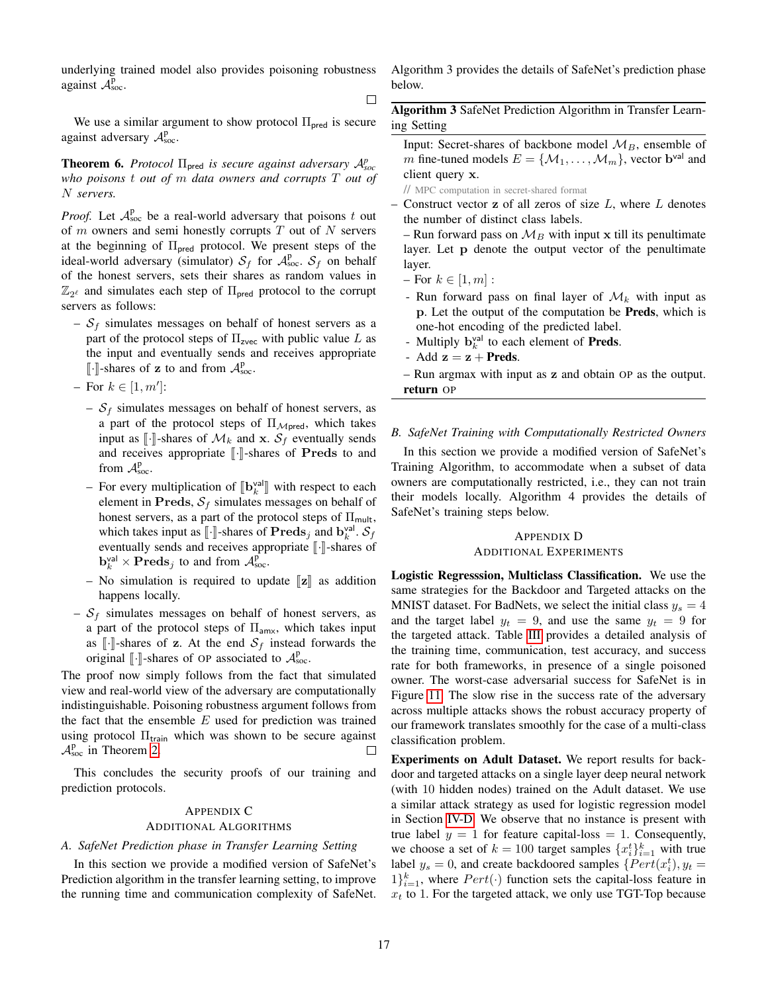underlying trained model also provides poisoning robustness against  $\mathcal{A}_{\text{soc}}^{\bar{p}}$ .

 $\Box$ 

We use a similar argument to show protocol  $\Pi_{\text{pred}}$  is secure against adversary  $A_{\text{soc}}^{\text{p}}$ .

<span id="page-16-0"></span>**Theorem 6.** *Protocol*  $\Pi_{\text{pred}}$  *is secure against adversary*  $\mathcal{A}_{\text{soc}}^p$ *who poisons* t *out of* m *data owners and corrupts* T *out of* N *servers.*

*Proof.* Let  $A_{\text{soc}}^p$  be a real-world adversary that poisons t out of  $m$  owners and semi-honestly corrupts  $T$  out of  $N$  servers at the beginning of  $\Pi_{\text{pred}}$  protocol. We present steps of the ideal-world adversary (simulator)  $S_f$  for  $\mathcal{A}^p_{\text{soc}}$ .  $S_f$  on behalf of the honest servers, sets their shares as random values in  $\mathbb{Z}_{2^{\ell}}$  and simulates each step of  $\Pi_{\text{pred}}$  protocol to the corrupt servers as follows:

–  $S_f$  simulates messages on behalf of honest servers as a part of the protocol steps of  $\Pi_{\text{zvec}}$  with public value L as the input and eventually sends and receives appropriate  $\llbracket \cdot \rrbracket$ -shares of z to and from  $\mathcal{A}^{\text{p}}_{\text{soc}}$ .

 $-$  For  $k \in [1, m']$ :

- $S_f$  simulates messages on behalf of honest servers, as a part of the protocol steps of  $\Pi_{\mathcal{M} \text{pred}}$ , which takes input as  $\lbrack \cdot \rbrack$ -shares of  $\mathcal{M}_k$  and **x**.  $\mathcal{S}_f$  eventually sends and receives appropriate  $\lbrack \cdot \rbrack$ -shares of Preds to and from  $A_{\text{soc}}^{\text{p}}$ .
- For every multiplication of  $[\mathbf{b}_{k}^{\text{val}}]$  with respect to each element in **Proces**  $S_{k}$  simulates messages on behalf of element in Preds,  $S_f$  simulates messages on behalf of honest servers, as a part of the protocol steps of  $\Pi_{\mathsf{mult}}$ , which takes input as  $\llbracket \cdot \rrbracket$ -shares of  $\textbf{Preds}_j$  and  $\mathbf{b}_k^{\text{val}}$ .  $\mathcal{S}_f$ <br>eventually sands and receives appropriate  $\llbracket \cdot \rrbracket$  shares of eventually sends and receives appropriate  $\lbrack \cdot \rbrack$ -shares of  $\mathbf{b}_k^{\text{val}} \times \mathbf{Preds}_j$  to and from  $\mathcal{A}_{\text{soc}}^{\hat{p}}$ .
- No simulation is required to update  $\llbracket z \rrbracket$  as addition happens locally.
- $S_f$  simulates messages on behalf of honest servers, as a part of the protocol steps of  $\Pi_{\text{amx}}$ , which takes input as  $\lceil \cdot \rceil$ -shares of z. At the end  $S_f$  instead forwards the original  $[\![\cdot]\!]$ -shares of OP associated to  $\mathcal{A}_{\text{soc}}^{\text{p}}$

The proof now simply follows from the fact that simulated view and real-world view of the adversary are computationally indistinguishable. Poisoning robustness argument follows from the fact that the ensemble  $E$  used for prediction was trained using protocol  $\Pi_{\text{train}}$  which was shown to be secure against  $A_{\text{soc}}^{\text{p}}$  in Theorem [2.](#page-4-3)  $\Box$ 

This concludes the security proofs of our training and prediction protocols.

# <span id="page-16-2"></span>APPENDIX C

#### ADDITIONAL ALGORITHMS

## *A. SafeNet Prediction phase in Transfer Learning Setting*

In this section we provide a modified version of SafeNet's Prediction algorithm in the transfer learning setting, to improve the running time and communication complexity of SafeNet. Algorithm 3 provides the details of SafeNet's prediction phase below.

Algorithm 3 SafeNet Prediction Algorithm in Transfer Learning Setting

Input: Secret-shares of backbone model  $M_B$ , ensemble of m fine-tuned models  $E = \{M_1, \ldots, M_m\}$ , vector  $\mathbf{b}^{\text{val}}$  and client query x.

// MPC computation in secret-shared format

– Construct vector  $z$  of all zeros of size  $L$ , where  $L$  denotes the number of distinct class labels.

– Run forward pass on  $\mathcal{M}_B$  with input x till its penultimate layer. Let p denote the output vector of the penultimate layer.

- For  $k \in [1, m]$ :
- Run forward pass on final layer of  $\mathcal{M}_k$  with input as p. Let the output of the computation be Preds, which is one-hot encoding of the predicted label.
- Multiply  $\mathbf{b}_k^{\text{val}}$  to each element of **Preds**.
- Add  $z = z + Preds$ .

– Run argmax with input as z and obtain OP as the output. return OP

## *B. SafeNet Training with Computationally Restricted Owners*

In this section we provide a modified version of SafeNet's Training Algorithm, to accommodate when a subset of data owners are computationally restricted, i.e., they can not train their models locally. Algorithm 4 provides the details of SafeNet's training steps below.

# <span id="page-16-1"></span>APPENDIX D ADDITIONAL EXPERIMENTS

Logistic Regresssion, Multiclass Classification. We use the same strategies for the Backdoor and Targeted attacks on the MNIST dataset. For BadNets, we select the initial class  $y_s = 4$ and the target label  $y_t = 9$ , and use the same  $y_t = 9$  for the targeted attack. Table [III](#page-17-0) provides a detailed analysis of the training time, communication, test accuracy, and success rate for both frameworks, in presence of a single poisoned owner. The worst-case adversarial success for SafeNet is in Figure [11.](#page-17-1) The slow rise in the success rate of the adversary across multiple attacks shows the robust accuracy property of our framework translates smoothly for the case of a multi-class classification problem.

Experiments on Adult Dataset. We report results for backdoor and targeted attacks on a single layer deep neural network (with 10 hidden nodes) trained on the Adult dataset. We use a similar attack strategy as used for logistic regression model in Section [IV-D.](#page-7-2) We observe that no instance is present with true label  $y = 1$  for feature capital-loss = 1. Consequently, we choose a set of  $k = 100$  target samples  $\{x_i^t\}_{i=1}^k$  with true label  $y_s = 0$ , and create backdoored samples  $\{Pert(x_i^t), y_t =$  $1\}_{i=1}^{k}$ , where  $Pert(\cdot)$  function sets the capital-loss feature in  $x_t$  to 1. For the targeted attack, we only use TGT-Top because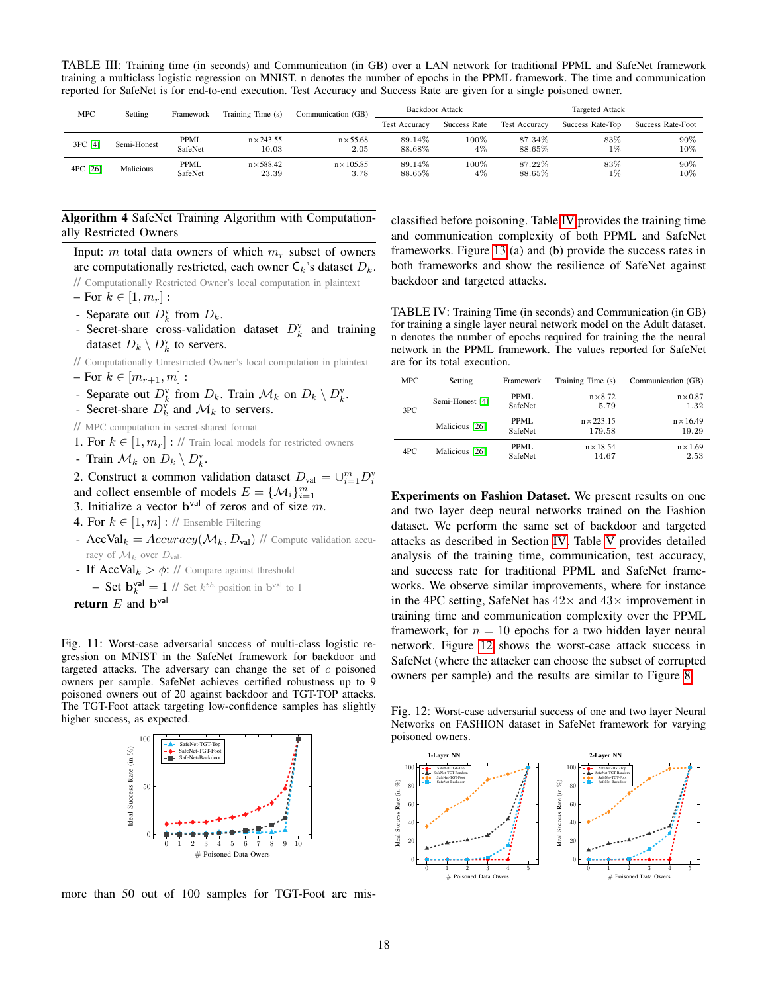<span id="page-17-0"></span>TABLE III: Training time (in seconds) and Communication (in GB) over a LAN network for traditional PPML and SafeNet framework training a multiclass logistic regression on MNIST. n denotes the number of epochs in the PPML framework. The time and communication reported for SafeNet is for end-to-end execution. Test Accuracy and Success Rate are given for a single poisoned owner.

| <b>MPC</b> | Setting     | Framework              | Training Time (s)          | Communication (GB)        | Backdoor Attack      |               | Targeted Attack      |                  |                   |
|------------|-------------|------------------------|----------------------------|---------------------------|----------------------|---------------|----------------------|------------------|-------------------|
|            |             |                        |                            |                           | <b>Test Accuracy</b> | Success Rate  | <b>Test Accuracy</b> | Success Rate-Top | Success Rate-Foot |
| 3PC [4]    | Semi-Honest | <b>PPML</b><br>SafeNet | $n \times 243.55$<br>10.03 | $n\times$ 55.68<br>2.05   | 89.14%<br>88.68%     | $100\%$<br>4% | 87.34%<br>88.65%     | 83%<br>$1\%$     | 90%<br>$10\%$     |
| 4PC [26]   | Malicious   | <b>PPML</b><br>SafeNet | $n\times$ 588.42<br>23.39  | $n \times 105.85$<br>3.78 | 89.14%<br>$88.65\%$  | $100\%$<br>4% | 87.22%<br>88.65%     | 83%<br>1%        | $90\%$<br>10%     |

# Algorithm 4 SafeNet Training Algorithm with Computationally Restricted Owners

Input: m total data owners of which  $m_r$  subset of owners are computationally restricted, each owner  $C_k$ 's dataset  $D_k$ .

// Computationally Restricted Owner's local computation in plaintext

- For  $k \in [1, m_r]$ :
- Separate out  $D_k^{\text{v}}$  from  $D_k$ .
- Secret-share cross-validation dataset  $D_k^{\text{v}}$  and training dataset  $D_k \setminus D_k^{\mathbf{v}}$  to servers.

// Computationally Unrestricted Owner's local computation in plaintext

- $-$  For  $k \in [m_{r+1}, m]$ :
- Separate out  $D_k^{\mathsf{v}}$  from  $D_k$ . Train  $\mathcal{M}_k$  on  $D_k \setminus D_k^{\mathsf{v}}$ .
- Secret-share  $D_k^{\text{v}}$  and  $\mathcal{M}_k$  to servers.
- // MPC computation in secret-shared format
- 1. For  $k \in [1, m_r]$ : // Train local models for restricted owners
- Train  $\mathcal{M}_k$  on  $D_k \setminus D_k^{\mathrm{v}}$ .
- 2. Construct a common validation dataset  $D_{val} = \bigcup_{i=1}^{m} D_i^{\nu}$
- and collect ensemble of models  $E = \{M_i\}_{i=1}^m$
- 3. Initialize a vector  $\mathbf{b}^{\text{val}}$  of zeros and of size m.
- 4. For  $k \in [1, m]$  : // Ensemble Filtering
- AccVal<sub>k</sub> =  $Accuracy(M_k, D_{val})$  // Compute validation accuracy of  $\mathcal{M}_k$  over  $D_{\text{val}}$ .
- If  $AccVal_k > \phi$ : // Compare against threshold
- **Set**  $\mathbf{b}_{k}^{\text{val}} = 1$  // Set  $k^{th}$  position in  $\mathbf{b}^{\text{val}}$  to 1

**return**  $E$  and  $\mathbf{b}^{\text{val}}$ 

<span id="page-17-1"></span>Fig. 11: Worst-case adversarial success of multi-class logistic regression on MNIST in the SafeNet framework for backdoor and targeted attacks. The adversary can change the set of  $c$  poisoned owners per sample. SafeNet achieves certified robustness up to 9 poisoned owners out of 20 against backdoor and TGT-TOP attacks. The TGT-Foot attack targeting low-confidence samples has slightly higher success, as expected.



more than 50 out of 100 samples for TGT-Foot are mis-

classified before poisoning. Table [IV](#page-17-2) provides the training time and communication complexity of both PPML and SafeNet frameworks. Figure [13](#page-18-1) (a) and (b) provide the success rates in both frameworks and show the resilience of SafeNet against backdoor and targeted attacks.

<span id="page-17-2"></span>TABLE IV: Training Time (in seconds) and Communication (in GB) for training a single layer neural network model on the Adult dataset. n denotes the number of epochs required for training the the neural network in the PPML framework. The values reported for SafeNet are for its total execution.

| <b>MPC</b> | Setting         | Framework              | Training Time (s)           | Communication (GB)        |
|------------|-----------------|------------------------|-----------------------------|---------------------------|
| 3PC        | Semi-Honest [4] | <b>PPML</b><br>SafeNet | $n \times 8.72$<br>5.79     | $n \times 0.87$<br>1.32   |
|            | Malicious [26]  | PPML.<br>SafeNet       | $n \times 223.15$<br>179.58 | $n \times 16.49$<br>19.29 |
| 4PC        | Malicious [26]  | PPML.<br>SafeNet       | $n \times 18.54$<br>14.67   | $n \times 1.69$<br>2.53   |

Experiments on Fashion Dataset. We present results on one and two layer deep neural networks trained on the Fashion dataset. We perform the same set of backdoor and targeted attacks as described in Section [IV.](#page-7-0) Table [V](#page-18-2) provides detailed analysis of the training time, communication, test accuracy, and success rate for traditional PPML and SafeNet frameworks. We observe similar improvements, where for instance in the 4PC setting, SafeNet has  $42\times$  and  $43\times$  improvement in training time and communication complexity over the PPML framework, for  $n = 10$  epochs for a two hidden layer neural network. Figure [12](#page-17-3) shows the worst-case attack success in SafeNet (where the attacker can choose the subset of corrupted owners per sample) and the results are similar to Figure [8.](#page-9-1)

<span id="page-17-3"></span>Fig. 12: Worst-case adversarial success of one and two layer Neural Networks on FASHION dataset in SafeNet framework for varying poisoned owners.

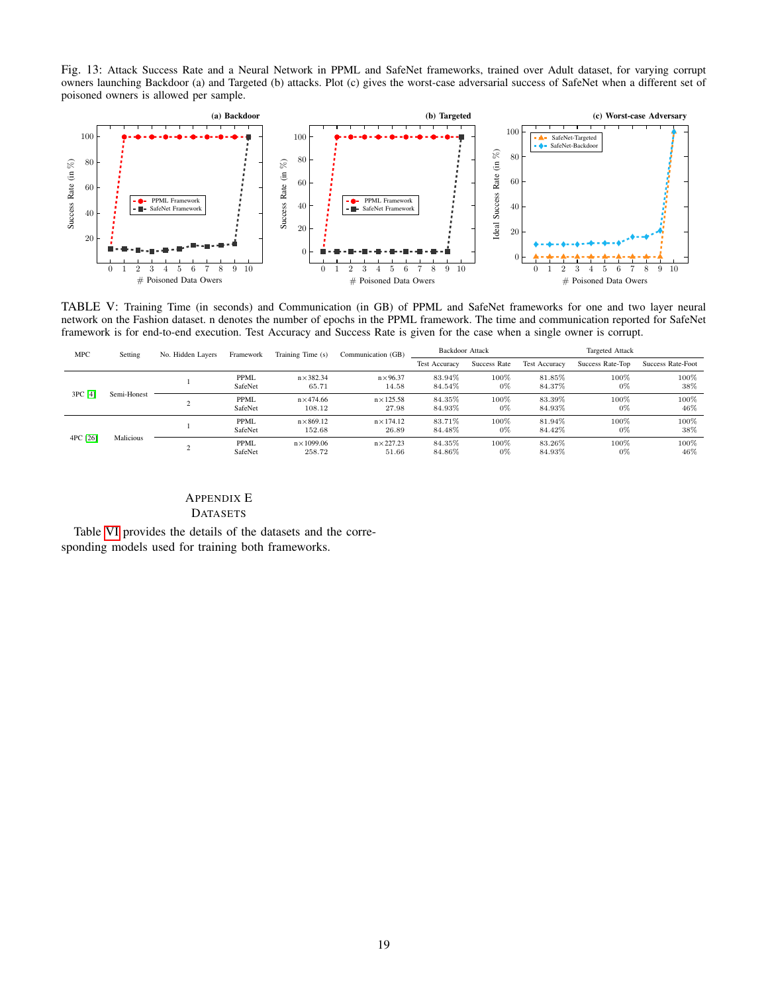<span id="page-18-1"></span>Fig. 13: Attack Success Rate and a Neural Network in PPML and SafeNet frameworks, trained over Adult dataset, for varying corrupt owners launching Backdoor (a) and Targeted (b) attacks. Plot (c) gives the worst-case adversarial success of SafeNet when a different set of poisoned owners is allowed per sample.



<span id="page-18-2"></span>TABLE V: Training Time (in seconds) and Communication (in GB) of PPML and SafeNet frameworks for one and two layer neural network on the Fashion dataset. n denotes the number of epochs in the PPML framework. The time and communication reported for SafeNet framework is for end-to-end execution. Test Accuracy and Success Rate is given for the case when a single owner is corrupt.

| <b>MPC</b> | Setting     | No. Hidden Layers | Framework       | Training Time (s)            | Communication (GB)         | <b>Backdoor Attack</b> |               | <b>Targeted Attack</b> |                  |                   |
|------------|-------------|-------------------|-----------------|------------------------------|----------------------------|------------------------|---------------|------------------------|------------------|-------------------|
|            |             |                   |                 |                              |                            | <b>Test Accuracy</b>   | Success Rate  | <b>Test Accuracy</b>   | Success Rate-Top | Success Rate-Foot |
| 3PC [4]    |             |                   | PPML<br>SafeNet | $n \times 382.34$<br>65.71   | $n \times 96.37$<br>14.58  | 83.94%<br>84.54%       | 100%<br>0%    | 81.85%<br>84.37%       | 100%<br>$0\%$    | 100%<br>38%       |
|            | Semi-Honest |                   | PPML<br>SafeNet | $n\times 474.66$<br>108.12   | $n \times 125.58$<br>27.98 | 84.35%<br>84.93%       | 100%<br>0%    | 83.39%<br>84.93%       | 100%<br>$0\%$    | 100%<br>46%       |
| 4PC [26]   | Malicious   |                   | PPML<br>SafeNet | $n\times 869.12$<br>152.68   | $n \times 174.12$<br>26.89 | 83.71%<br>84.48%       | 100%<br>0%    | 81.94%<br>84.42%       | 100%<br>$0\%$    | 100%<br>38%       |
|            |             |                   | PPML<br>SafeNet | $n \times 1099.06$<br>258.72 | $n \times 227.23$<br>51.66 | 84.35%<br>84.86%       | 100%<br>$0\%$ | 83.26%<br>84.93%       | 100%<br>$0\%$    | 100%<br>46%       |

# <span id="page-18-0"></span>APPENDIX E DATASETS

Table [VI](#page-19-0) provides the details of the datasets and the corresponding models used for training both frameworks.